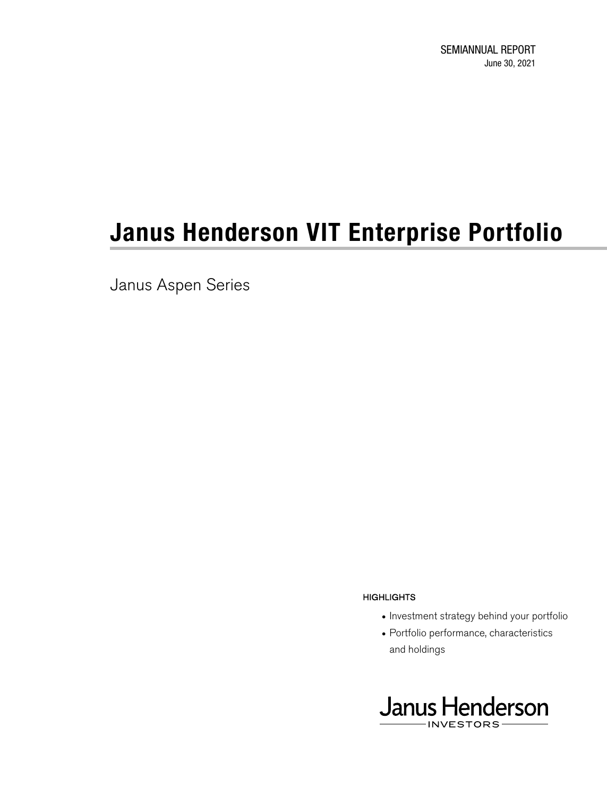SEMIANNUAL REPORT June 30, 2021

# **Janus Henderson VIT Enterprise Portfolio**

Janus Aspen Series

#### **HIGHLIGHTS**

- Investment strategy behind your portfolio
- Portfolio performance, characteristics and holdings

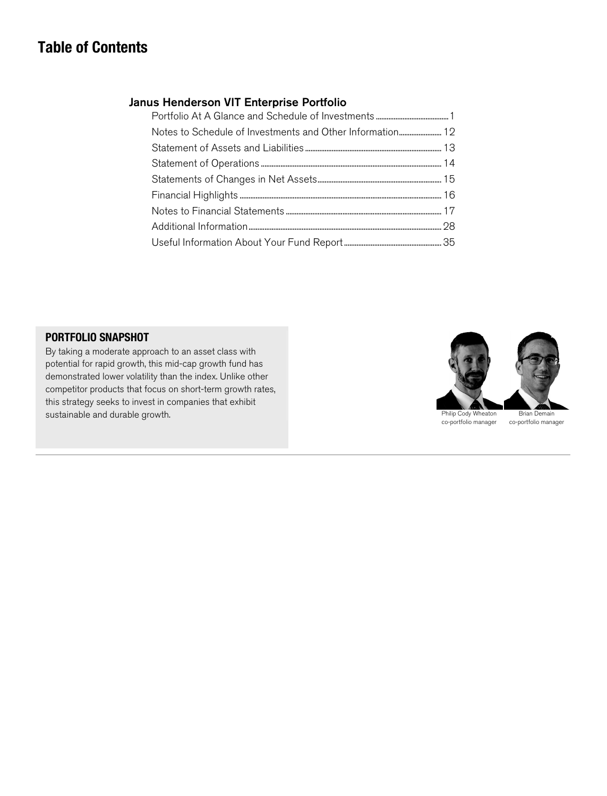## **Table of Contents**

#### Janus Henderson VIT Enterprise Portfolio

| Notes to Schedule of Investments and Other Information 12 |
|-----------------------------------------------------------|
|                                                           |
|                                                           |
|                                                           |
|                                                           |
|                                                           |
|                                                           |
|                                                           |

#### **PORTFOLIO SNAPSHOT**

By taking a moderate approach to an asset class with potential for rapid growth, this mid-cap growth fund has demonstrated lower volatility than the index. Unlike other competitor products that focus on short-term growth rates, this strategy seeks to invest in companies that exhibit sustainable and durable growth.

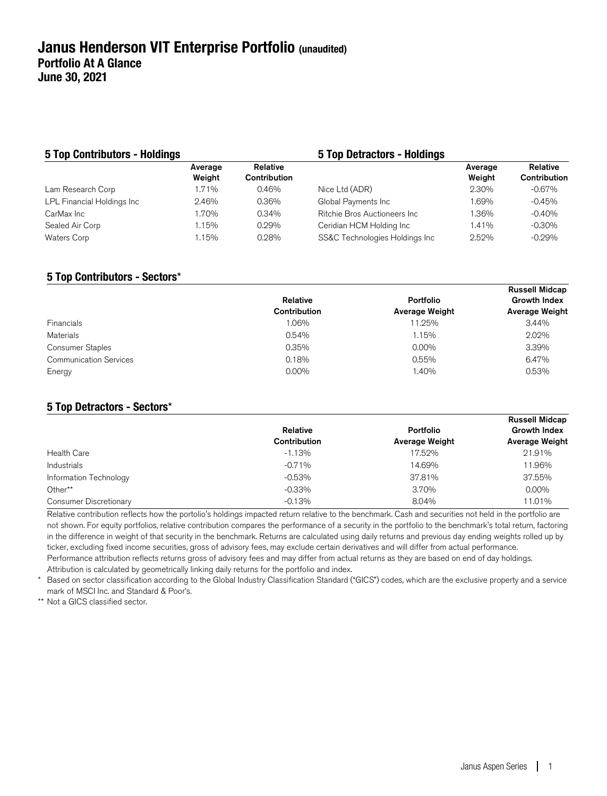#### **5 Top Contributors - Holdings 5 Top Detractors - Holdings**  Average Weight Relative Contribution Average Weight Relative Contribution Lam Research Corp 1.71% 0.46% Nice Ltd (ADR) 2.30% -0.67% LPL Financial Holdings Inc 2.46% 0.36% Global Payments Inc 1.69% -0.45% CarMax Inc 1.70% 0.34% Ritchie Bros Auctioneers Inc 1.36% -0.40% Sealed Air Corp 1.15% 0.29% Ceridian HCM Holding Inc 1.41% -0.30% Waters Corp **1.15%** 0.28% SS&C Technologies Holdings Inc 2.52% -0.29%

#### **5 Top Contributors - Sectors**\*

|                               |              |                | <b>Russell Midcap</b> |
|-------------------------------|--------------|----------------|-----------------------|
|                               | Relative     | Portfolio      | <b>Growth Index</b>   |
|                               | Contribution | Average Weight | Average Weight        |
| <b>Financials</b>             | 1.06%        | 11.25%         | 3.44%                 |
| Materials                     | 0.54%        | 1.15%          | 2.02%                 |
| <b>Consumer Staples</b>       | 0.35%        | $0.00\%$       | 3.39%                 |
| <b>Communication Services</b> | 0.18%        | 0.55%          | 6.47%                 |
| Energy                        | $0.00\%$     | 1.40%          | 0.53%                 |
|                               |              |                |                       |

#### **5 Top Detractors - Sectors**\*

|                        | Relative<br>Contribution | Portfolio<br><b>Average Weight</b> | <b>Russell Midcap</b><br><b>Growth Index</b><br><b>Average Weight</b> |
|------------------------|--------------------------|------------------------------------|-----------------------------------------------------------------------|
| <b>Health Care</b>     | $-1.13%$                 | 17.52%                             | 21.91%                                                                |
| Industrials            | $-0.71%$                 | 14.69%                             | 11.96%                                                                |
| Information Technology | $-0.53%$                 | 37.81%                             | 37.55%                                                                |
| Other**                | $-0.33%$                 | 3.70%                              | $0.00\%$                                                              |
| Consumer Discretionary | $-0.13%$                 | 8.04%                              | 11.01%                                                                |

Relative contribution reflects how the portolio's holdings impacted return relative to the benchmark. Cash and securities not held in the portfolio are not shown. For equity portfolios, relative contribution compares the performance of a security in the portfolio to the benchmark's total return, factoring in the difference in weight of that security in the benchmark. Returns are calculated using daily returns and previous day ending weights rolled up by ticker, excluding fixed income securities, gross of advisory fees, may exclude certain derivatives and will differ from actual performance. Performance attribution reflects returns gross of advisory fees and may differ from actual returns as they are based on end of day holdings. Attribution is calculated by geometrically linking daily returns for the portfolio and index.

Based on sector classification according to the Global Industry Classification Standard ("GICS") codes, which are the exclusive property and a service mark of MSCI Inc. and Standard & Poor's.

\*\* Not a GICS classified sector.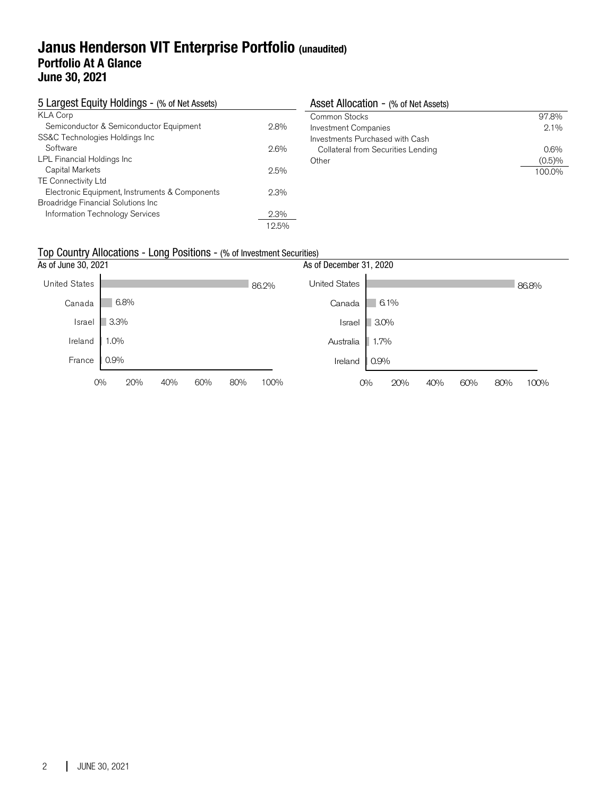### **Janus Henderson VIT Enterprise Portfolio (unaudited) Portfolio At A Glance June 30, 2021**

| 5 Largest Equity Holdings - (% of Net Assets)  |         | Asset Allocation - (% of Net Assets) |         |
|------------------------------------------------|---------|--------------------------------------|---------|
| <b>KLA Corp</b>                                |         | Common Stocks                        | 97.8%   |
| Semiconductor & Semiconductor Equipment        | 2.8%    | <b>Investment Companies</b>          | $2.1\%$ |
| SS&C Technologies Holdings Inc                 |         | Investments Purchased with Cash      |         |
| Software                                       | 2.6%    | Collateral from Securities Lending   | $0.6\%$ |
| LPL Financial Holdings Inc                     |         | Other                                | (0.5)%  |
| Capital Markets                                | 2.5%    |                                      | 100.0%  |
| <b>TE Connectivity Ltd</b>                     |         |                                      |         |
| Electronic Equipment, Instruments & Components | $2.3\%$ |                                      |         |
| Broadridge Financial Solutions Inc             |         |                                      |         |
| Information Technology Services                | $2.3\%$ |                                      |         |
|                                                | 12.5%   |                                      |         |

### Top Country Allocations - Long Positions - (% of Investment Securities)

| As of June 30, 2021 | As of December 31, 2020 |     |     |     |       |                      |         |      |     |     |     |       |
|---------------------|-------------------------|-----|-----|-----|-------|----------------------|---------|------|-----|-----|-----|-------|
| United States       |                         |     |     |     | 86.2% | <b>United States</b> |         |      |     |     |     | 86.8% |
| Canada              | 6.8%                    |     |     |     |       | Canada               |         | 6.1% |     |     |     |       |
| Israel              | 3.3%                    |     |     |     |       | Israel               | $3.0\%$ |      |     |     |     |       |
| Ireland             | $ 1.0\%$                |     |     |     |       | Australia            | 1.7%    |      |     |     |     |       |
| France              | $0.9\%$                 |     |     |     |       | Ireland              | 0.9%    |      |     |     |     |       |
|                     | $O\%$<br>20%            | 40% | 60% | 80% | 100%  |                      | $O\%$   | 20%  | 40% | 60% | 80% | 100%  |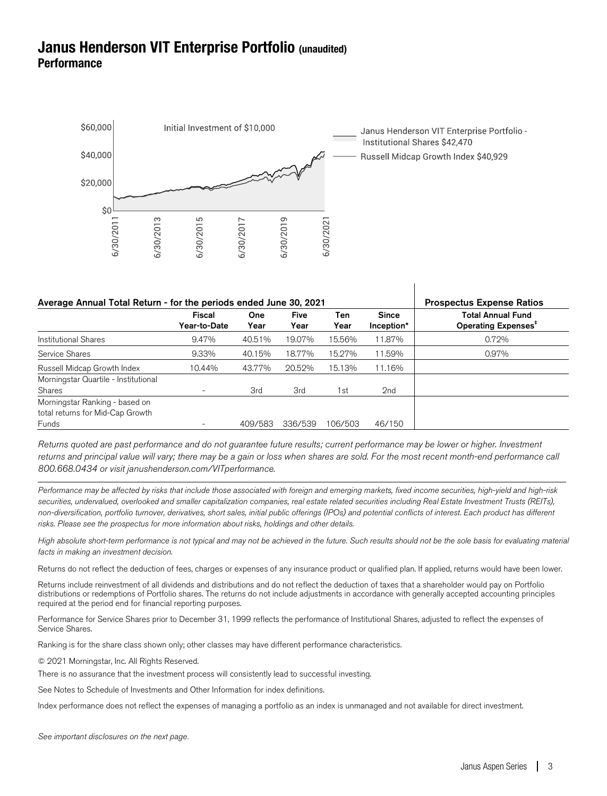## **Janus Henderson VIT Enterprise Portfolio (unaudited) Performance**



| Average Annual Total Return - for the periods ended June 30, 2021           | <b>Prospectus Expense Ratios</b> |             |                     |             |                            |                                                             |
|-----------------------------------------------------------------------------|----------------------------------|-------------|---------------------|-------------|----------------------------|-------------------------------------------------------------|
|                                                                             | <b>Fiscal</b><br>Year-to-Date    | One<br>Year | <b>Five</b><br>Year | Ten<br>Year | <b>Since</b><br>Inception* | <b>Total Annual Fund</b><br>Operating Expenses <sup>#</sup> |
| <b>Institutional Shares</b>                                                 | 9.47%                            | 40.51%      | 19.07%              | 15.56%      | 11.87%                     | 0.72%                                                       |
| Service Shares                                                              | 9.33%                            | 40.15%      | 18.77%              | 15.27%      | 11.59%                     | 0.97%                                                       |
| Russell Midcap Growth Index                                                 | 10.44%                           | 43.77%      | 20.52%              | 15.13%      | 11.16%                     |                                                             |
| Morningstar Quartile - Institutional<br>Shares                              | $\overline{\phantom{a}}$         | 3rd         | 3rd                 | l st        | 2nd                        |                                                             |
| Morningstar Ranking - based on<br>total returns for Mid-Cap Growth<br>Funds | $\overline{\phantom{0}}$         | 409/583     | 336/539             | 106/503     | 46/150                     |                                                             |

 $\overline{\phantom{a}}$ 

Returns quoted are past performance and do not guarantee future results; current performance may be lower or higher. Investment returns and principal value will vary; there may be a gain or loss when shares are sold. For the most recent month-end performance call 800.668.0434 or visit janushenderson.com/VITperformance.

Performance may be affected by risks that include those associated with foreign and emerging markets, fixed income securities, high-yield and high-risk securities, undervalued, overlooked and smaller capitalization companies, real estate related securities including Real Estate Investment Trusts (REITs), non-diversification, portfolio turnover, derivatives, short sales, initial public offerings (IPOs) and potential conflicts of interest. Each product has different risks. Please see the prospectus for more information about risks, holdings and other details.

High absolute short-term performance is not typical and may not be achieved in the future. Such results should not be the sole basis for evaluating material facts in making an investment decision.

Returns do not reflect the deduction of fees, charges or expenses of any insurance product or qualified plan. If applied, returns would have been lower.

Returns include reinvestment of all dividends and distributions and do not reflect the deduction of taxes that a shareholder would pay on Portfolio distributions or redemptions of Portfolio shares. The returns do not include adjustments in accordance with generally accepted accounting principles required at the period end for financial reporting purposes.

Performance for Service Shares prior to December 31, 1999 reflects the performance of Institutional Shares, adjusted to reflect the expenses of Service Shares.

Ranking is for the share class shown only; other classes may have different performance characteristics.

© 2021 Morningstar, Inc. All Rights Reserved.

There is no assurance that the investment process will consistently lead to successful investing.

See Notes to Schedule of Investments and Other Information for index definitions.

Index performance does not reflect the expenses of managing a portfolio as an index is unmanaged and not available for direct investment.

See important disclosures on the next page.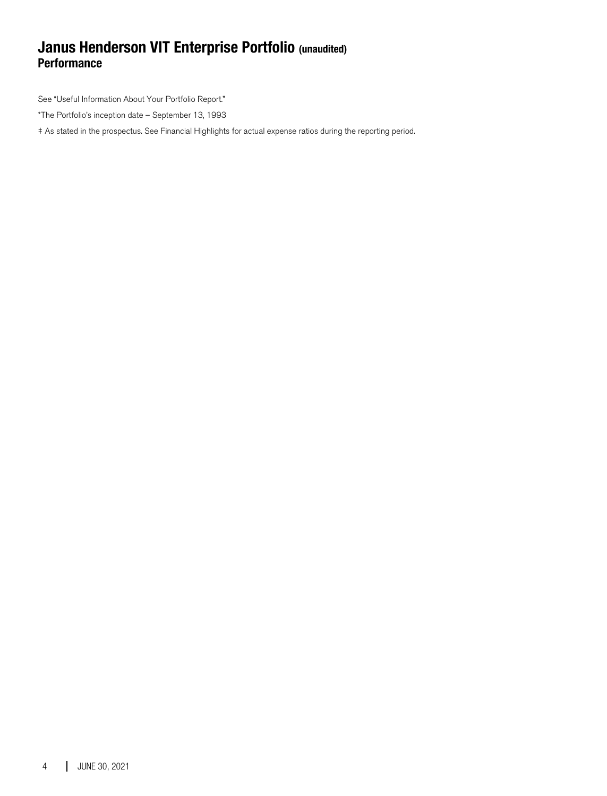## **Janus Henderson VIT Enterprise Portfolio (unaudited) Performance**

See "Useful Information About Your Portfolio Report."

\*The Portfolio's inception date – September 13, 1993

‡ As stated in the prospectus. See Financial Highlights for actual expense ratios during the reporting period.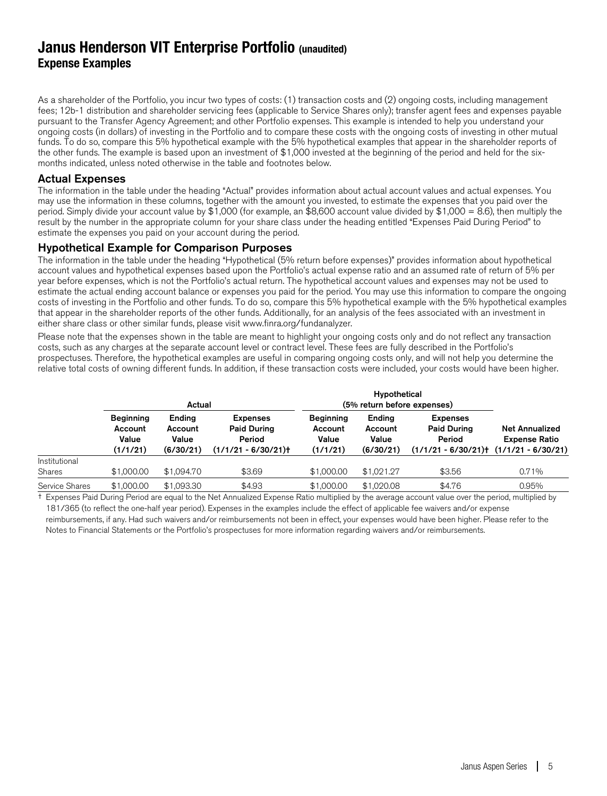## **Janus Henderson VIT Enterprise Portfolio (unaudited) Expense Examples**

As a shareholder of the Portfolio, you incur two types of costs: (1) transaction costs and (2) ongoing costs, including management fees; 12b-1 distribution and shareholder servicing fees (applicable to Service Shares only); transfer agent fees and expenses payable pursuant to the Transfer Agency Agreement; and other Portfolio expenses. This example is intended to help you understand your ongoing costs (in dollars) of investing in the Portfolio and to compare these costs with the ongoing costs of investing in other mutual funds. To do so, compare this 5% hypothetical example with the 5% hypothetical examples that appear in the shareholder reports of the other funds. The example is based upon an investment of \$1,000 invested at the beginning of the period and held for the sixmonths indicated, unless noted otherwise in the table and footnotes below.

#### Actual Expenses

The information in the table under the heading "Actual" provides information about actual account values and actual expenses. You may use the information in these columns, together with the amount you invested, to estimate the expenses that you paid over the period. Simply divide your account value by \$1,000 (for example, an \$8,600 account value divided by \$1,000 = 8.6), then multiply the result by the number in the appropriate column for your share class under the heading entitled "Expenses Paid During Period" to estimate the expenses you paid on your account during the period.

#### Hypothetical Example for Comparison Purposes

The information in the table under the heading "Hypothetical (5% return before expenses)" provides information about hypothetical account values and hypothetical expenses based upon the Portfolio's actual expense ratio and an assumed rate of return of 5% per year before expenses, which is not the Portfolio's actual return. The hypothetical account values and expenses may not be used to estimate the actual ending account balance or expenses you paid for the period. You may use this information to compare the ongoing costs of investing in the Portfolio and other funds. To do so, compare this 5% hypothetical example with the 5% hypothetical examples that appear in the shareholder reports of the other funds. Additionally, for an analysis of the fees associated with an investment in either share class or other similar funds, please visit www.finra.org/fundanalyzer.

Please note that the expenses shown in the table are meant to highlight your ongoing costs only and do not reflect any transaction costs, such as any charges at the separate account level or contract level. These fees are fully described in the Portfolio's prospectuses. Therefore, the hypothetical examples are useful in comparing ongoing costs only, and will not help you determine the relative total costs of owning different funds. In addition, if these transaction costs were included, your costs would have been higher.

|                |                                                  | Actual                                  |                                                                         | (5% return before expenses)                      |                                         |                                                                                              |                                               |
|----------------|--------------------------------------------------|-----------------------------------------|-------------------------------------------------------------------------|--------------------------------------------------|-----------------------------------------|----------------------------------------------------------------------------------------------|-----------------------------------------------|
|                | <b>Beginning</b><br>Account<br>Value<br>(1/1/21) | Ending<br>Account<br>Value<br>(6/30/21) | <b>Expenses</b><br><b>Paid During</b><br>Period<br>$(1/1/21 - 6/30/21)$ | <b>Beginning</b><br>Account<br>Value<br>(1/1/21) | Ending<br>Account<br>Value<br>(6/30/21) | <b>Expenses</b><br><b>Paid During</b><br>Period<br>$(1/1/21 - 6/30/21)$ $(1/1/21 - 6/30/21)$ | <b>Net Annualized</b><br><b>Expense Ratio</b> |
| Institutional  |                                                  |                                         |                                                                         |                                                  |                                         |                                                                                              |                                               |
| Shares         | \$1,000.00                                       | \$1,094.70                              | \$3.69                                                                  | \$1,000.00                                       | \$1.021.27                              | \$3.56                                                                                       | 0.71%                                         |
| Service Shares | \$1,000.00                                       | \$1,093.30                              | \$4.93                                                                  | \$1,000.00                                       | \$1,020.08                              | \$4.76                                                                                       | 0.95%                                         |

† Expenses Paid During Period are equal to the Net Annualized Expense Ratio multiplied by the average account value over the period, multiplied by 181/365 (to reflect the one-half year period). Expenses in the examples include the effect of applicable fee waivers and/or expense reimbursements, if any. Had such waivers and/or reimbursements not been in effect, your expenses would have been higher. Please refer to the Notes to Financial Statements or the Portfolio's prospectuses for more information regarding waivers and/or reimbursements.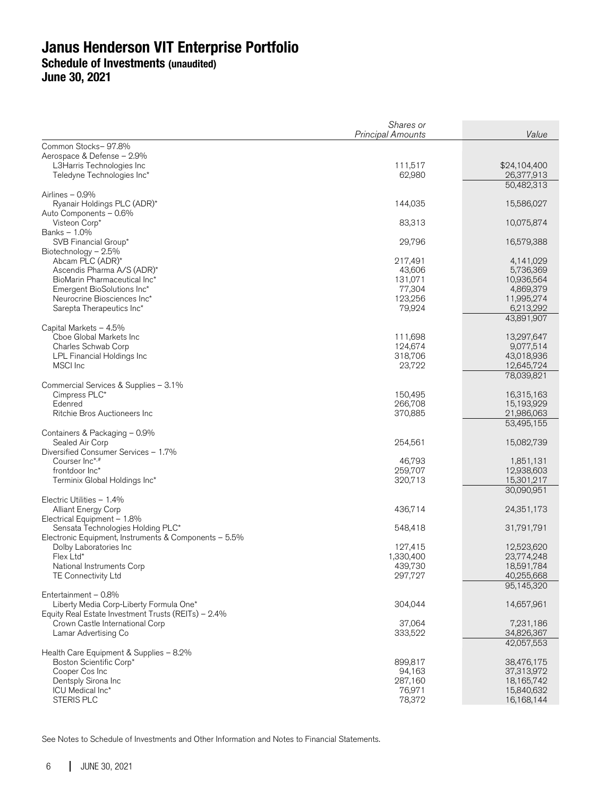**June 30, 2021** 

| Common Stocks-97.8%<br>Aerospace & Defense - 2.9%<br>L3Harris Technologies Inc<br>111,517<br>\$24,104,400<br>Teledyne Technologies Inc*<br>62,980<br>26,377,913<br>50,482,313<br>Airlines - 0.9%<br>Ryanair Holdings PLC (ADR)*<br>144,035<br>15,586,027<br>Auto Components - 0.6%<br>Visteon Corp*<br>83,313<br>10,075,874<br>Banks - 1.0%<br>SVB Financial Group*<br>29,796<br>16,579,388<br>Biotechnology - 2.5%<br>Abcam PLC (ADR)*<br>217,491<br>4,141,029<br>Ascendis Pharma A/S (ADR)*<br>43,606<br>5,736,369<br>10,936,564<br>BioMarin Pharmaceutical Inc*<br>131,071<br>77,304<br>Emergent BioSolutions Inc*<br>4,869,379<br>Neurocrine Biosciences Inc*<br>123,256<br>11,995,274<br>6,213,292<br>Sarepta Therapeutics Inc*<br>79,924<br>43,891,907<br>Capital Markets - 4.5%<br>Cboe Global Markets Inc<br>111,698<br>13,297,647<br>Charles Schwab Corp<br>124,674<br>9,077,514<br>43,018,936<br>LPL Financial Holdings Inc<br>318,706<br>MSCI Inc<br>23,722<br>12,645,724<br>78,039,821<br>Commercial Services & Supplies - 3.1%<br>Cimpress PLC*<br>150,495<br>16,315,163<br>Edenred<br>266,708<br>15,193,929<br>21,986,063<br>Ritchie Bros Auctioneers Inc<br>370,885<br>53,495,155<br>Containers & Packaging - 0.9%<br>Sealed Air Corp<br>254,561<br>15,082,739<br>Diversified Consumer Services - 1.7%<br>Courser Inc <sup>*,#</sup><br>46,793<br>1,851,131<br>259,707<br>12,938,603<br>frontdoor Inc*<br>Terminix Global Holdings Inc*<br>320,713<br>15,301,217<br>30,090,951<br>Electric Utilities - 1.4%<br><b>Alliant Energy Corp</b><br>436,714<br>24,351,173<br>Electrical Equipment - 1.8%<br>Sensata Technologies Holding PLC*<br>548,418<br>31,791,791<br>Electronic Equipment, Instruments & Components - 5.5%<br>Dolby Laboratories Inc.<br>127,415<br>12,523,620<br>Flex Ltd*<br>1,330,400<br>23,774,248<br>18,591,784<br>National Instruments Corp<br>439,730<br>TE Connectivity Ltd<br>297,727<br>40,255,668<br>95,145,320<br>Entertainment - 0.8%<br>304,044<br>14,657,961<br>Liberty Media Corp-Liberty Formula One*<br>Equity Real Estate Investment Trusts (REITs) - 2.4%<br>37,064<br>Crown Castle International Corp<br>7,231,186<br>Lamar Advertising Co<br>333,522<br>34,826,367<br>42,057,553<br>Health Care Equipment & Supplies - 8.2%<br>Boston Scientific Corp*<br>899,817<br>38,476,175<br>Cooper Cos Inc<br>94,163<br>37,313,972<br>Dentsply Sirona Inc<br>287,160<br>18,165,742<br>ICU Medical Inc*<br>76,971<br>15,840,632<br>STERIS PLC<br>78,372<br>16,168,144 | Shares or         | Value |
|----------------------------------------------------------------------------------------------------------------------------------------------------------------------------------------------------------------------------------------------------------------------------------------------------------------------------------------------------------------------------------------------------------------------------------------------------------------------------------------------------------------------------------------------------------------------------------------------------------------------------------------------------------------------------------------------------------------------------------------------------------------------------------------------------------------------------------------------------------------------------------------------------------------------------------------------------------------------------------------------------------------------------------------------------------------------------------------------------------------------------------------------------------------------------------------------------------------------------------------------------------------------------------------------------------------------------------------------------------------------------------------------------------------------------------------------------------------------------------------------------------------------------------------------------------------------------------------------------------------------------------------------------------------------------------------------------------------------------------------------------------------------------------------------------------------------------------------------------------------------------------------------------------------------------------------------------------------------------------------------------------------------------------------------------------------------------------------------------------------------------------------------------------------------------------------------------------------------------------------------------------------------------------------------------------------------------------------------------------------------------------------------------------------------------------------------------------------------------------------------------------------|-------------------|-------|
|                                                                                                                                                                                                                                                                                                                                                                                                                                                                                                                                                                                                                                                                                                                                                                                                                                                                                                                                                                                                                                                                                                                                                                                                                                                                                                                                                                                                                                                                                                                                                                                                                                                                                                                                                                                                                                                                                                                                                                                                                                                                                                                                                                                                                                                                                                                                                                                                                                                                                                                | Principal Amounts |       |
|                                                                                                                                                                                                                                                                                                                                                                                                                                                                                                                                                                                                                                                                                                                                                                                                                                                                                                                                                                                                                                                                                                                                                                                                                                                                                                                                                                                                                                                                                                                                                                                                                                                                                                                                                                                                                                                                                                                                                                                                                                                                                                                                                                                                                                                                                                                                                                                                                                                                                                                |                   |       |
|                                                                                                                                                                                                                                                                                                                                                                                                                                                                                                                                                                                                                                                                                                                                                                                                                                                                                                                                                                                                                                                                                                                                                                                                                                                                                                                                                                                                                                                                                                                                                                                                                                                                                                                                                                                                                                                                                                                                                                                                                                                                                                                                                                                                                                                                                                                                                                                                                                                                                                                |                   |       |
|                                                                                                                                                                                                                                                                                                                                                                                                                                                                                                                                                                                                                                                                                                                                                                                                                                                                                                                                                                                                                                                                                                                                                                                                                                                                                                                                                                                                                                                                                                                                                                                                                                                                                                                                                                                                                                                                                                                                                                                                                                                                                                                                                                                                                                                                                                                                                                                                                                                                                                                |                   |       |
|                                                                                                                                                                                                                                                                                                                                                                                                                                                                                                                                                                                                                                                                                                                                                                                                                                                                                                                                                                                                                                                                                                                                                                                                                                                                                                                                                                                                                                                                                                                                                                                                                                                                                                                                                                                                                                                                                                                                                                                                                                                                                                                                                                                                                                                                                                                                                                                                                                                                                                                |                   |       |
|                                                                                                                                                                                                                                                                                                                                                                                                                                                                                                                                                                                                                                                                                                                                                                                                                                                                                                                                                                                                                                                                                                                                                                                                                                                                                                                                                                                                                                                                                                                                                                                                                                                                                                                                                                                                                                                                                                                                                                                                                                                                                                                                                                                                                                                                                                                                                                                                                                                                                                                |                   |       |
|                                                                                                                                                                                                                                                                                                                                                                                                                                                                                                                                                                                                                                                                                                                                                                                                                                                                                                                                                                                                                                                                                                                                                                                                                                                                                                                                                                                                                                                                                                                                                                                                                                                                                                                                                                                                                                                                                                                                                                                                                                                                                                                                                                                                                                                                                                                                                                                                                                                                                                                |                   |       |
|                                                                                                                                                                                                                                                                                                                                                                                                                                                                                                                                                                                                                                                                                                                                                                                                                                                                                                                                                                                                                                                                                                                                                                                                                                                                                                                                                                                                                                                                                                                                                                                                                                                                                                                                                                                                                                                                                                                                                                                                                                                                                                                                                                                                                                                                                                                                                                                                                                                                                                                |                   |       |
|                                                                                                                                                                                                                                                                                                                                                                                                                                                                                                                                                                                                                                                                                                                                                                                                                                                                                                                                                                                                                                                                                                                                                                                                                                                                                                                                                                                                                                                                                                                                                                                                                                                                                                                                                                                                                                                                                                                                                                                                                                                                                                                                                                                                                                                                                                                                                                                                                                                                                                                |                   |       |
|                                                                                                                                                                                                                                                                                                                                                                                                                                                                                                                                                                                                                                                                                                                                                                                                                                                                                                                                                                                                                                                                                                                                                                                                                                                                                                                                                                                                                                                                                                                                                                                                                                                                                                                                                                                                                                                                                                                                                                                                                                                                                                                                                                                                                                                                                                                                                                                                                                                                                                                |                   |       |
|                                                                                                                                                                                                                                                                                                                                                                                                                                                                                                                                                                                                                                                                                                                                                                                                                                                                                                                                                                                                                                                                                                                                                                                                                                                                                                                                                                                                                                                                                                                                                                                                                                                                                                                                                                                                                                                                                                                                                                                                                                                                                                                                                                                                                                                                                                                                                                                                                                                                                                                |                   |       |
|                                                                                                                                                                                                                                                                                                                                                                                                                                                                                                                                                                                                                                                                                                                                                                                                                                                                                                                                                                                                                                                                                                                                                                                                                                                                                                                                                                                                                                                                                                                                                                                                                                                                                                                                                                                                                                                                                                                                                                                                                                                                                                                                                                                                                                                                                                                                                                                                                                                                                                                |                   |       |
|                                                                                                                                                                                                                                                                                                                                                                                                                                                                                                                                                                                                                                                                                                                                                                                                                                                                                                                                                                                                                                                                                                                                                                                                                                                                                                                                                                                                                                                                                                                                                                                                                                                                                                                                                                                                                                                                                                                                                                                                                                                                                                                                                                                                                                                                                                                                                                                                                                                                                                                |                   |       |
|                                                                                                                                                                                                                                                                                                                                                                                                                                                                                                                                                                                                                                                                                                                                                                                                                                                                                                                                                                                                                                                                                                                                                                                                                                                                                                                                                                                                                                                                                                                                                                                                                                                                                                                                                                                                                                                                                                                                                                                                                                                                                                                                                                                                                                                                                                                                                                                                                                                                                                                |                   |       |
|                                                                                                                                                                                                                                                                                                                                                                                                                                                                                                                                                                                                                                                                                                                                                                                                                                                                                                                                                                                                                                                                                                                                                                                                                                                                                                                                                                                                                                                                                                                                                                                                                                                                                                                                                                                                                                                                                                                                                                                                                                                                                                                                                                                                                                                                                                                                                                                                                                                                                                                |                   |       |
|                                                                                                                                                                                                                                                                                                                                                                                                                                                                                                                                                                                                                                                                                                                                                                                                                                                                                                                                                                                                                                                                                                                                                                                                                                                                                                                                                                                                                                                                                                                                                                                                                                                                                                                                                                                                                                                                                                                                                                                                                                                                                                                                                                                                                                                                                                                                                                                                                                                                                                                |                   |       |
|                                                                                                                                                                                                                                                                                                                                                                                                                                                                                                                                                                                                                                                                                                                                                                                                                                                                                                                                                                                                                                                                                                                                                                                                                                                                                                                                                                                                                                                                                                                                                                                                                                                                                                                                                                                                                                                                                                                                                                                                                                                                                                                                                                                                                                                                                                                                                                                                                                                                                                                |                   |       |
|                                                                                                                                                                                                                                                                                                                                                                                                                                                                                                                                                                                                                                                                                                                                                                                                                                                                                                                                                                                                                                                                                                                                                                                                                                                                                                                                                                                                                                                                                                                                                                                                                                                                                                                                                                                                                                                                                                                                                                                                                                                                                                                                                                                                                                                                                                                                                                                                                                                                                                                |                   |       |
|                                                                                                                                                                                                                                                                                                                                                                                                                                                                                                                                                                                                                                                                                                                                                                                                                                                                                                                                                                                                                                                                                                                                                                                                                                                                                                                                                                                                                                                                                                                                                                                                                                                                                                                                                                                                                                                                                                                                                                                                                                                                                                                                                                                                                                                                                                                                                                                                                                                                                                                |                   |       |
|                                                                                                                                                                                                                                                                                                                                                                                                                                                                                                                                                                                                                                                                                                                                                                                                                                                                                                                                                                                                                                                                                                                                                                                                                                                                                                                                                                                                                                                                                                                                                                                                                                                                                                                                                                                                                                                                                                                                                                                                                                                                                                                                                                                                                                                                                                                                                                                                                                                                                                                |                   |       |
|                                                                                                                                                                                                                                                                                                                                                                                                                                                                                                                                                                                                                                                                                                                                                                                                                                                                                                                                                                                                                                                                                                                                                                                                                                                                                                                                                                                                                                                                                                                                                                                                                                                                                                                                                                                                                                                                                                                                                                                                                                                                                                                                                                                                                                                                                                                                                                                                                                                                                                                |                   |       |
|                                                                                                                                                                                                                                                                                                                                                                                                                                                                                                                                                                                                                                                                                                                                                                                                                                                                                                                                                                                                                                                                                                                                                                                                                                                                                                                                                                                                                                                                                                                                                                                                                                                                                                                                                                                                                                                                                                                                                                                                                                                                                                                                                                                                                                                                                                                                                                                                                                                                                                                |                   |       |
|                                                                                                                                                                                                                                                                                                                                                                                                                                                                                                                                                                                                                                                                                                                                                                                                                                                                                                                                                                                                                                                                                                                                                                                                                                                                                                                                                                                                                                                                                                                                                                                                                                                                                                                                                                                                                                                                                                                                                                                                                                                                                                                                                                                                                                                                                                                                                                                                                                                                                                                |                   |       |
|                                                                                                                                                                                                                                                                                                                                                                                                                                                                                                                                                                                                                                                                                                                                                                                                                                                                                                                                                                                                                                                                                                                                                                                                                                                                                                                                                                                                                                                                                                                                                                                                                                                                                                                                                                                                                                                                                                                                                                                                                                                                                                                                                                                                                                                                                                                                                                                                                                                                                                                |                   |       |
|                                                                                                                                                                                                                                                                                                                                                                                                                                                                                                                                                                                                                                                                                                                                                                                                                                                                                                                                                                                                                                                                                                                                                                                                                                                                                                                                                                                                                                                                                                                                                                                                                                                                                                                                                                                                                                                                                                                                                                                                                                                                                                                                                                                                                                                                                                                                                                                                                                                                                                                |                   |       |
|                                                                                                                                                                                                                                                                                                                                                                                                                                                                                                                                                                                                                                                                                                                                                                                                                                                                                                                                                                                                                                                                                                                                                                                                                                                                                                                                                                                                                                                                                                                                                                                                                                                                                                                                                                                                                                                                                                                                                                                                                                                                                                                                                                                                                                                                                                                                                                                                                                                                                                                |                   |       |
|                                                                                                                                                                                                                                                                                                                                                                                                                                                                                                                                                                                                                                                                                                                                                                                                                                                                                                                                                                                                                                                                                                                                                                                                                                                                                                                                                                                                                                                                                                                                                                                                                                                                                                                                                                                                                                                                                                                                                                                                                                                                                                                                                                                                                                                                                                                                                                                                                                                                                                                |                   |       |
|                                                                                                                                                                                                                                                                                                                                                                                                                                                                                                                                                                                                                                                                                                                                                                                                                                                                                                                                                                                                                                                                                                                                                                                                                                                                                                                                                                                                                                                                                                                                                                                                                                                                                                                                                                                                                                                                                                                                                                                                                                                                                                                                                                                                                                                                                                                                                                                                                                                                                                                |                   |       |
|                                                                                                                                                                                                                                                                                                                                                                                                                                                                                                                                                                                                                                                                                                                                                                                                                                                                                                                                                                                                                                                                                                                                                                                                                                                                                                                                                                                                                                                                                                                                                                                                                                                                                                                                                                                                                                                                                                                                                                                                                                                                                                                                                                                                                                                                                                                                                                                                                                                                                                                |                   |       |
|                                                                                                                                                                                                                                                                                                                                                                                                                                                                                                                                                                                                                                                                                                                                                                                                                                                                                                                                                                                                                                                                                                                                                                                                                                                                                                                                                                                                                                                                                                                                                                                                                                                                                                                                                                                                                                                                                                                                                                                                                                                                                                                                                                                                                                                                                                                                                                                                                                                                                                                |                   |       |
|                                                                                                                                                                                                                                                                                                                                                                                                                                                                                                                                                                                                                                                                                                                                                                                                                                                                                                                                                                                                                                                                                                                                                                                                                                                                                                                                                                                                                                                                                                                                                                                                                                                                                                                                                                                                                                                                                                                                                                                                                                                                                                                                                                                                                                                                                                                                                                                                                                                                                                                |                   |       |
|                                                                                                                                                                                                                                                                                                                                                                                                                                                                                                                                                                                                                                                                                                                                                                                                                                                                                                                                                                                                                                                                                                                                                                                                                                                                                                                                                                                                                                                                                                                                                                                                                                                                                                                                                                                                                                                                                                                                                                                                                                                                                                                                                                                                                                                                                                                                                                                                                                                                                                                |                   |       |
|                                                                                                                                                                                                                                                                                                                                                                                                                                                                                                                                                                                                                                                                                                                                                                                                                                                                                                                                                                                                                                                                                                                                                                                                                                                                                                                                                                                                                                                                                                                                                                                                                                                                                                                                                                                                                                                                                                                                                                                                                                                                                                                                                                                                                                                                                                                                                                                                                                                                                                                |                   |       |
|                                                                                                                                                                                                                                                                                                                                                                                                                                                                                                                                                                                                                                                                                                                                                                                                                                                                                                                                                                                                                                                                                                                                                                                                                                                                                                                                                                                                                                                                                                                                                                                                                                                                                                                                                                                                                                                                                                                                                                                                                                                                                                                                                                                                                                                                                                                                                                                                                                                                                                                |                   |       |
|                                                                                                                                                                                                                                                                                                                                                                                                                                                                                                                                                                                                                                                                                                                                                                                                                                                                                                                                                                                                                                                                                                                                                                                                                                                                                                                                                                                                                                                                                                                                                                                                                                                                                                                                                                                                                                                                                                                                                                                                                                                                                                                                                                                                                                                                                                                                                                                                                                                                                                                |                   |       |
|                                                                                                                                                                                                                                                                                                                                                                                                                                                                                                                                                                                                                                                                                                                                                                                                                                                                                                                                                                                                                                                                                                                                                                                                                                                                                                                                                                                                                                                                                                                                                                                                                                                                                                                                                                                                                                                                                                                                                                                                                                                                                                                                                                                                                                                                                                                                                                                                                                                                                                                |                   |       |
|                                                                                                                                                                                                                                                                                                                                                                                                                                                                                                                                                                                                                                                                                                                                                                                                                                                                                                                                                                                                                                                                                                                                                                                                                                                                                                                                                                                                                                                                                                                                                                                                                                                                                                                                                                                                                                                                                                                                                                                                                                                                                                                                                                                                                                                                                                                                                                                                                                                                                                                |                   |       |
|                                                                                                                                                                                                                                                                                                                                                                                                                                                                                                                                                                                                                                                                                                                                                                                                                                                                                                                                                                                                                                                                                                                                                                                                                                                                                                                                                                                                                                                                                                                                                                                                                                                                                                                                                                                                                                                                                                                                                                                                                                                                                                                                                                                                                                                                                                                                                                                                                                                                                                                |                   |       |
|                                                                                                                                                                                                                                                                                                                                                                                                                                                                                                                                                                                                                                                                                                                                                                                                                                                                                                                                                                                                                                                                                                                                                                                                                                                                                                                                                                                                                                                                                                                                                                                                                                                                                                                                                                                                                                                                                                                                                                                                                                                                                                                                                                                                                                                                                                                                                                                                                                                                                                                |                   |       |
|                                                                                                                                                                                                                                                                                                                                                                                                                                                                                                                                                                                                                                                                                                                                                                                                                                                                                                                                                                                                                                                                                                                                                                                                                                                                                                                                                                                                                                                                                                                                                                                                                                                                                                                                                                                                                                                                                                                                                                                                                                                                                                                                                                                                                                                                                                                                                                                                                                                                                                                |                   |       |
|                                                                                                                                                                                                                                                                                                                                                                                                                                                                                                                                                                                                                                                                                                                                                                                                                                                                                                                                                                                                                                                                                                                                                                                                                                                                                                                                                                                                                                                                                                                                                                                                                                                                                                                                                                                                                                                                                                                                                                                                                                                                                                                                                                                                                                                                                                                                                                                                                                                                                                                |                   |       |
|                                                                                                                                                                                                                                                                                                                                                                                                                                                                                                                                                                                                                                                                                                                                                                                                                                                                                                                                                                                                                                                                                                                                                                                                                                                                                                                                                                                                                                                                                                                                                                                                                                                                                                                                                                                                                                                                                                                                                                                                                                                                                                                                                                                                                                                                                                                                                                                                                                                                                                                |                   |       |
|                                                                                                                                                                                                                                                                                                                                                                                                                                                                                                                                                                                                                                                                                                                                                                                                                                                                                                                                                                                                                                                                                                                                                                                                                                                                                                                                                                                                                                                                                                                                                                                                                                                                                                                                                                                                                                                                                                                                                                                                                                                                                                                                                                                                                                                                                                                                                                                                                                                                                                                |                   |       |
|                                                                                                                                                                                                                                                                                                                                                                                                                                                                                                                                                                                                                                                                                                                                                                                                                                                                                                                                                                                                                                                                                                                                                                                                                                                                                                                                                                                                                                                                                                                                                                                                                                                                                                                                                                                                                                                                                                                                                                                                                                                                                                                                                                                                                                                                                                                                                                                                                                                                                                                |                   |       |
|                                                                                                                                                                                                                                                                                                                                                                                                                                                                                                                                                                                                                                                                                                                                                                                                                                                                                                                                                                                                                                                                                                                                                                                                                                                                                                                                                                                                                                                                                                                                                                                                                                                                                                                                                                                                                                                                                                                                                                                                                                                                                                                                                                                                                                                                                                                                                                                                                                                                                                                |                   |       |
|                                                                                                                                                                                                                                                                                                                                                                                                                                                                                                                                                                                                                                                                                                                                                                                                                                                                                                                                                                                                                                                                                                                                                                                                                                                                                                                                                                                                                                                                                                                                                                                                                                                                                                                                                                                                                                                                                                                                                                                                                                                                                                                                                                                                                                                                                                                                                                                                                                                                                                                |                   |       |
|                                                                                                                                                                                                                                                                                                                                                                                                                                                                                                                                                                                                                                                                                                                                                                                                                                                                                                                                                                                                                                                                                                                                                                                                                                                                                                                                                                                                                                                                                                                                                                                                                                                                                                                                                                                                                                                                                                                                                                                                                                                                                                                                                                                                                                                                                                                                                                                                                                                                                                                |                   |       |
|                                                                                                                                                                                                                                                                                                                                                                                                                                                                                                                                                                                                                                                                                                                                                                                                                                                                                                                                                                                                                                                                                                                                                                                                                                                                                                                                                                                                                                                                                                                                                                                                                                                                                                                                                                                                                                                                                                                                                                                                                                                                                                                                                                                                                                                                                                                                                                                                                                                                                                                |                   |       |
|                                                                                                                                                                                                                                                                                                                                                                                                                                                                                                                                                                                                                                                                                                                                                                                                                                                                                                                                                                                                                                                                                                                                                                                                                                                                                                                                                                                                                                                                                                                                                                                                                                                                                                                                                                                                                                                                                                                                                                                                                                                                                                                                                                                                                                                                                                                                                                                                                                                                                                                |                   |       |
|                                                                                                                                                                                                                                                                                                                                                                                                                                                                                                                                                                                                                                                                                                                                                                                                                                                                                                                                                                                                                                                                                                                                                                                                                                                                                                                                                                                                                                                                                                                                                                                                                                                                                                                                                                                                                                                                                                                                                                                                                                                                                                                                                                                                                                                                                                                                                                                                                                                                                                                |                   |       |
|                                                                                                                                                                                                                                                                                                                                                                                                                                                                                                                                                                                                                                                                                                                                                                                                                                                                                                                                                                                                                                                                                                                                                                                                                                                                                                                                                                                                                                                                                                                                                                                                                                                                                                                                                                                                                                                                                                                                                                                                                                                                                                                                                                                                                                                                                                                                                                                                                                                                                                                |                   |       |
|                                                                                                                                                                                                                                                                                                                                                                                                                                                                                                                                                                                                                                                                                                                                                                                                                                                                                                                                                                                                                                                                                                                                                                                                                                                                                                                                                                                                                                                                                                                                                                                                                                                                                                                                                                                                                                                                                                                                                                                                                                                                                                                                                                                                                                                                                                                                                                                                                                                                                                                |                   |       |

See Notes to Schedule of Investments and Other Information and Notes to Financial Statements.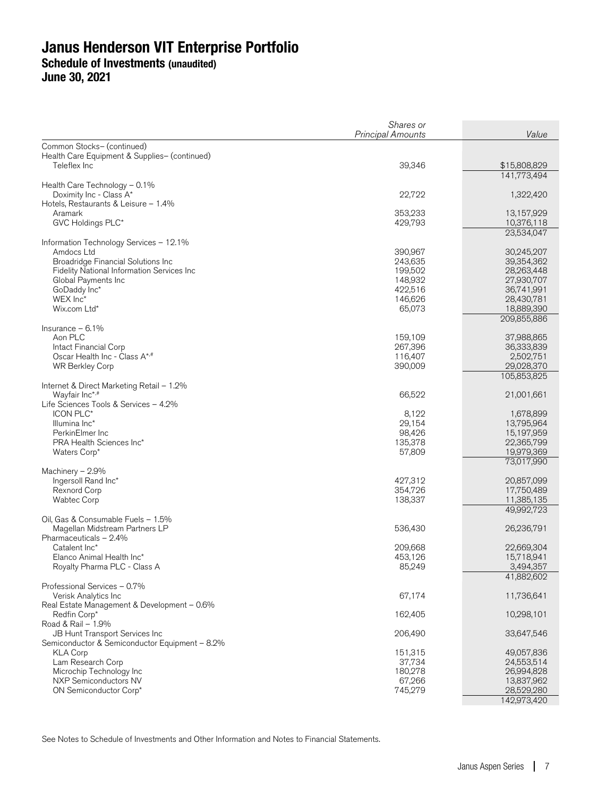**June 30, 2021** 

|                                                               | Shares or          |                          |
|---------------------------------------------------------------|--------------------|--------------------------|
|                                                               | Principal Amounts  | Value                    |
| Common Stocks- (continued)                                    |                    |                          |
| Health Care Equipment & Supplies- (continued)<br>Teleflex Inc | 39,346             | \$15,808,829             |
|                                                               |                    | 141,773,494              |
| Health Care Technology - 0.1%                                 |                    |                          |
| Doximity Inc - Class A*                                       | 22,722             | 1,322,420                |
| Hotels, Restaurants & Leisure - 1.4%                          |                    |                          |
| Aramark                                                       | 353,233            | 13,157,929               |
| GVC Holdings PLC*                                             | 429,793            | 10,376,118               |
|                                                               |                    | 23,534,047               |
| Information Technology Services - 12.1%                       |                    |                          |
| Amdocs Ltd<br>Broadridge Financial Solutions Inc              | 390,967<br>243,635 | 30,245,207<br>39,354,362 |
| Fidelity National Information Services Inc                    | 199,502            | 28,263,448               |
| Global Payments Inc                                           | 148,932            | 27,930,707               |
| GoDaddy Inc*                                                  | 422,516            | 36,741,991               |
| WEX Inc*                                                      | 146,626            | 28,430,781               |
| Wix.com Ltd*                                                  | 65,073             | 18,889,390               |
|                                                               |                    | 209,855,886              |
| Insurance $-6.1%$                                             |                    |                          |
| Aon PLC                                                       | 159,109            | 37,988,865               |
| Intact Financial Corp<br>Oscar Health Inc - Class A*,#        | 267,396<br>116,407 | 36,333,839<br>2,502,751  |
| WR Berkley Corp                                               | 390,009            | 29,028,370               |
|                                                               |                    | 105,853,825              |
| Internet & Direct Marketing Retail - 1.2%                     |                    |                          |
| Wayfair Inc*,#                                                | 66,522             | 21,001,661               |
| Life Sciences Tools & Services - 4.2%                         |                    |                          |
| ICON PLC*                                                     | 8,122              | 1,678,899                |
| Illumina Inc*                                                 | 29,154             | 13,795,964               |
| PerkinElmer Inc                                               | 98,426             | 15,197,959               |
| PRA Health Sciences Inc*<br>Waters Corp*                      | 135,378<br>57,809  | 22,365,799<br>19,979,369 |
|                                                               |                    | 73,017,990               |
| Machinery - 2.9%                                              |                    |                          |
| Ingersoll Rand Inc*                                           | 427,312            | 20,857,099               |
| Rexnord Corp                                                  | 354,726            | 17,750,489               |
| <b>Wabtec Corp</b>                                            | 138,337            | 11,385,135               |
|                                                               |                    | 49,992,723               |
| Oil, Gas & Consumable Fuels - 1.5%                            |                    |                          |
| Magellan Midstream Partners LP<br>Pharmaceuticals - 2.4%      | 536,430            | 26,236,791               |
| Catalent Inc*                                                 | 209,668            | 22,669,304               |
| Elanco Animal Health Inc*                                     | 453,126            | 15,718,941               |
| Royalty Pharma PLC - Class A                                  | 85,249             | 3,494,357                |
|                                                               |                    | 41,882,602               |
| Professional Services - 0.7%                                  |                    |                          |
| Verisk Analytics Inc                                          | 67,174             | 11,736,641               |
| Real Estate Management & Development - 0.6%                   |                    |                          |
| Redfin Corp*<br>Road & Rail - 1.9%                            | 162,405            | 10,298,101               |
| JB Hunt Transport Services Inc                                | 206,490            | 33,647,546               |
| Semiconductor & Semiconductor Equipment - 8.2%                |                    |                          |
| <b>KLA Corp</b>                                               | 151,315            | 49,057,836               |
| Lam Research Corp                                             | 37,734             | 24,553,514               |
| Microchip Technology Inc                                      | 180,278            | 26,994,828               |
| NXP Semiconductors NV                                         | 67,266             | 13,837,962               |
| ON Semiconductor Corp*                                        | 745,279            | 28,529,280               |
|                                                               |                    | 142,973,420              |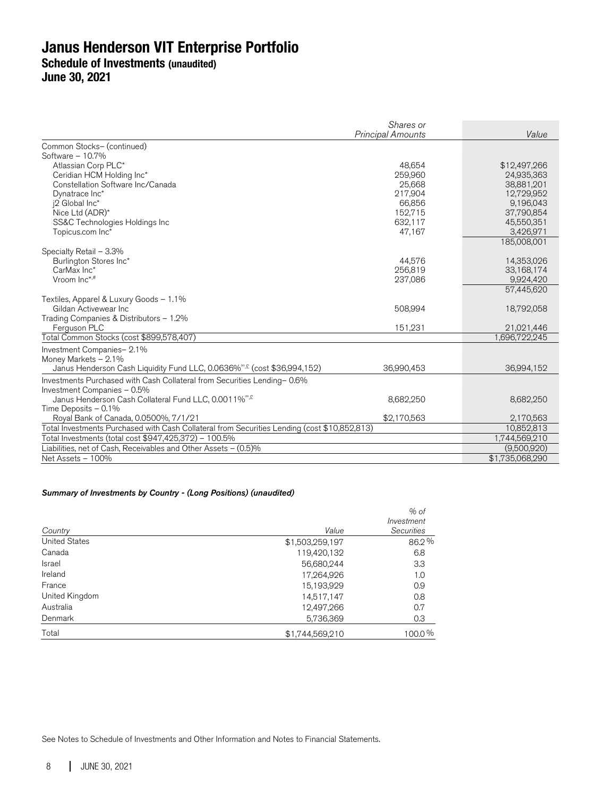Shares or Principal Amounts Value Common Stocks– (continued) Software – 10.7% Atlassian Corp PLC\* \$12,497,266<br>Ceridian HCM Holding Inc\* \$12,497,266 \$12,497,266 \$12,497,266 \$12,497,266 \$12,497,266 \$12,497,266 \$12,497,266 Ceridian HCM Holding Inc\* 259,960 24,935,363 Constellation Software Inc/Canada 25,668 38,881,201 Dynatrace Inc\* 217,904 12,729,952 j2 Global Inc\* 66,856 9,196,043 Nice Ltd (ADR)\* 152,715 37,790,854 SS&C Technologies Holdings Inc 632,117 45,550,351 Topicus.com Inc<sup>3</sup> 185,008,001 Specialty Retail – 3.3% Burlington Stores Inc\* 14,353,026<br>
CarMax Inc\* 14,353,026 14,576 14,353,026 14,353,026 14,576 14,353,026 14,576 14,353,026 14,576 14,353,026 14, CarMax Inc\* 256,819 33,168,174 Vroom Inc\* ,# 237,086 9,924,420 57,445,620 Textiles, Apparel & Luxury Goods – 1.1% Gildan Activewear Inc **608,994** 18,792,058 18,792,058 18,8994 18,792,058 18,8994 18,792,058 18,8994 18,792,058 18,000 18,000 18,000 18,000 18,000 18,000 18,000 18,000 18,000 18,000 18,000 18,000 18,000 18,000 18,000 18,000 Trading Companies & Distributors – 1.2% Perguson PLC 21,021,446<br>
tal Common Stocks (cost \$899,578.407) 21,020,446<br>
tal Common Stocks (cost \$899,578.407) Total Common Stocks (cost \$899,578,407) Investment Companies– 2.1% Money Markets – 2.1% Janus Henderson Cash Liquidity Fund LLC, 0.0636%<sup>®,£</sup> (cost \$36,994,152) 36,990,453 36,990,453 36,994,152 Investments Purchased with Cash Collateral from Securities Lending– 0.6% Investment Companies – 0.5% Janus Henderson Cash Collateral Fund LLC, 0.0011%<sup>or,£</sup> 8,682,250 8,682,250 8,682,250 Time Deposits – 0.1% Royal Bank of Canada, 0.0500%, 7/1/21 \$2,170,563 \$2,170,563 \$2,170,563 2,170,563<br>Hal Investments Purchased with Cash Collateral from Securities Lending (cost \$10.852.813) 10.852.813 Total Investments Purchased with Cash Collateral from Securities Lending (cost \$10,852,813) 10,852,813<br>
Total Investments (total cost \$947,425,372) – 100.5% 10,852,813 Total Investments (total cost \$947,425,372) – 100.5% 1,744,569,210<br>Liabilities, net of Cash, Receivables and Other Assets – (0.5)% 1,744,569,210 Liabilities, net of Cash, Receivables and Other Assets  $-$  (0.5)% Net Assets – 100%  $$1,735,068,290$ 

#### Summary of Investments by Country - (Long Positions) (unaudited)

|                      |                 | $%$ of            |
|----------------------|-----------------|-------------------|
|                      |                 | Investment        |
| Country              | Value           | <b>Securities</b> |
| <b>United States</b> | \$1,503,259,197 | 86.2%             |
| Canada               | 119,420,132     | 6.8               |
| <b>Israel</b>        | 56,680,244      | 3.3               |
| Ireland              | 17,264,926      | 1.0               |
| France               | 15,193,929      | 0.9               |
| United Kingdom       | 14,517,147      | 0.8               |
| Australia            | 12,497,266      | 0.7               |
| Denmark              | 5,736,369       | 0.3               |
| Total                | \$1,744,569,210 | 100.0%            |

See Notes to Schedule of Investments and Other Information and Notes to Financial Statements.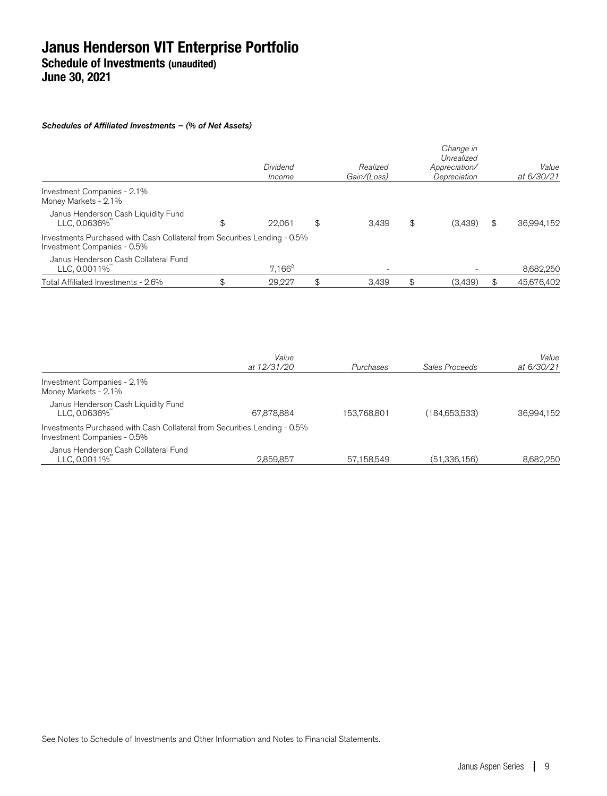#### Schedules of Affiliated Investments – (% of Net Assets)

|                                                                                                          | Dividend<br>Income | Realized<br>Gain/(Loss) | Change in<br>Unrealized<br>Appreciation/<br>Depreciation | Value<br>at 6/30/21 |
|----------------------------------------------------------------------------------------------------------|--------------------|-------------------------|----------------------------------------------------------|---------------------|
| Investment Companies - 2.1%<br>Money Markets - 2.1%                                                      |                    |                         |                                                          |                     |
| Janus Henderson Cash Liquidity Fund<br>LLC, 0.0636%                                                      | \$<br>22,061       | \$<br>3.439             | \$<br>(3,439)                                            | \$<br>36,994,152    |
| Investments Purchased with Cash Collateral from Securities Lending - 0.5%<br>Investment Companies - 0.5% |                    |                         |                                                          |                     |
| Janus Henderson Cash Collateral Fund<br>LLC, 0.0011%                                                     | $7.166^{\circ}$    |                         |                                                          | 8,682,250           |
| Total Affiliated Investments - 2.6%                                                                      | 29.227             | 3.439                   | (3,439)                                                  | 45,676,402          |
|                                                                                                          |                    |                         |                                                          |                     |

|                                                                                                          | Value<br>at 12/31/20 | Purchases   | Sales Proceeds | Value<br>at 6/30/21 |
|----------------------------------------------------------------------------------------------------------|----------------------|-------------|----------------|---------------------|
|                                                                                                          |                      |             |                |                     |
| Investment Companies - 2.1%                                                                              |                      |             |                |                     |
| Money Markets - 2.1%                                                                                     |                      |             |                |                     |
|                                                                                                          |                      |             |                |                     |
| Janus Henderson Cash Liquidity Fund<br>LLC, 0.0636%                                                      | 67,878,884           | 153.768.801 | (184,653,533)  | 36.994.152          |
| Investments Purchased with Cash Collateral from Securities Lending - 0.5%<br>Investment Companies - 0.5% |                      |             |                |                     |
| Janus Henderson Cash Collateral Fund                                                                     |                      |             |                |                     |
| LLC, 0.0011%                                                                                             | 2.859.857            | 57.158.549  | (51.336.156)   | 8.682.250           |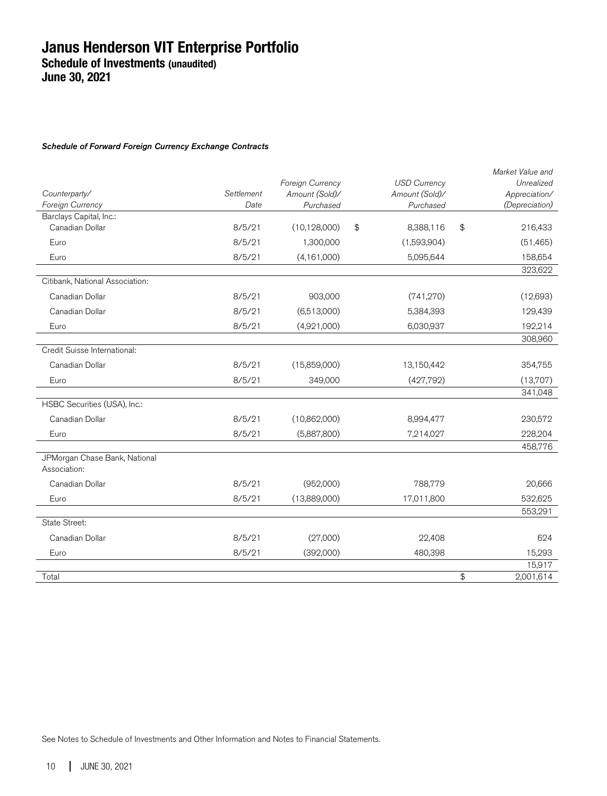#### Schedule of Forward Foreign Currency Exchange Contracts

|                                               |            | Foreign Currency | <b>USD Currency</b> | Market Value and<br>Unrealized |
|-----------------------------------------------|------------|------------------|---------------------|--------------------------------|
| Counterparty/                                 | Settlement | Amount (Sold)/   | Amount (Sold)/      | Appreciation/                  |
| Foreign Currency                              | Date       | Purchased        | Purchased           | (Depreciation)                 |
| Barclays Capital, Inc.:                       |            |                  |                     |                                |
| Canadian Dollar                               | 8/5/21     | (10, 128, 000)   | \$<br>8,388,116     | \$<br>216,433                  |
| Euro                                          | 8/5/21     | 1,300,000        | (1,593,904)         | (51, 465)                      |
| Euro                                          | 8/5/21     | (4, 161, 000)    | 5,095,644           | 158,654                        |
|                                               |            |                  |                     | 323,622                        |
| Citibank, National Association:               |            |                  |                     |                                |
| Canadian Dollar                               | 8/5/21     | 903,000          | (741, 270)          | (12,693)                       |
| Canadian Dollar                               | 8/5/21     | (6,513,000)      | 5,384,393           | 129,439                        |
| Euro                                          | 8/5/21     | (4,921,000)      | 6,030,937           | 192,214                        |
|                                               |            |                  |                     | 308,960                        |
| Credit Suisse International:                  |            |                  |                     |                                |
| Canadian Dollar                               | 8/5/21     | (15,859,000)     | 13,150,442          | 354,755                        |
| Euro                                          | 8/5/21     | 349,000          | (427,792)           | (13,707)                       |
|                                               |            |                  |                     | 341,048                        |
| HSBC Securities (USA), Inc.:                  |            |                  |                     |                                |
| Canadian Dollar                               | 8/5/21     | (10,862,000)     | 8,994,477           | 230,572                        |
| Euro                                          | 8/5/21     | (5,887,800)      | 7,214,027           | 228,204                        |
|                                               |            |                  |                     | 458,776                        |
| JPMorgan Chase Bank, National<br>Association: |            |                  |                     |                                |
| Canadian Dollar                               | 8/5/21     | (952,000)        | 788,779             | 20,666                         |
| Euro                                          | 8/5/21     | (13,889,000)     | 17,011,800          | 532,625                        |
|                                               |            |                  |                     | 553,291                        |
| State Street:                                 |            |                  |                     |                                |
| Canadian Dollar                               | 8/5/21     | (27,000)         | 22,408              | 624                            |
| Euro                                          | 8/5/21     | (392,000)        | 480,398             | 15,293                         |
|                                               |            |                  |                     | 15,917                         |
| Total                                         |            |                  |                     | \$<br>2,001,614                |

See Notes to Schedule of Investments and Other Information and Notes to Financial Statements.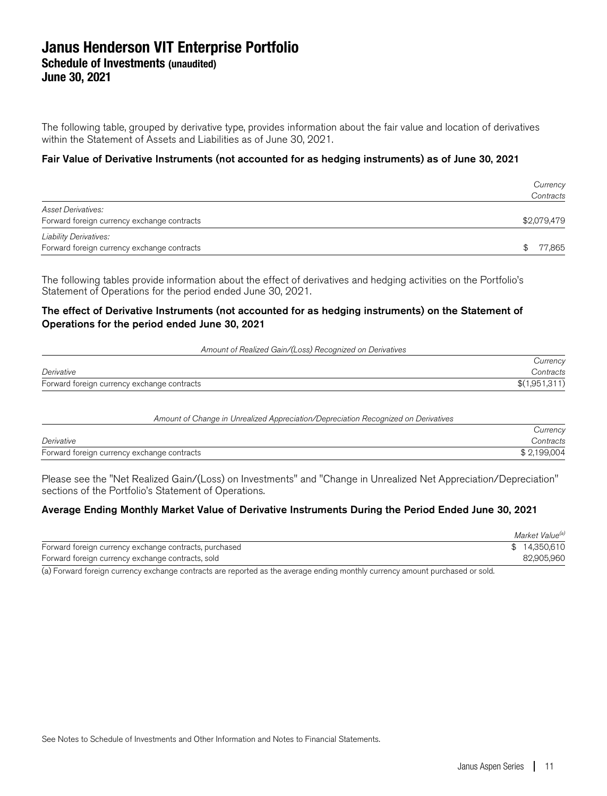The following table, grouped by derivative type, provides information about the fair value and location of derivatives within the Statement of Assets and Liabilities as of June 30, 2021.

#### Fair Value of Derivative Instruments (not accounted for as hedging instruments) as of June 30, 2021

|                                                                              | Currency<br>Contracts |
|------------------------------------------------------------------------------|-----------------------|
| <b>Asset Derivatives:</b>                                                    | \$2,079,479           |
| Forward foreign currency exchange contracts                                  |                       |
| <b>Liability Derivatives:</b><br>Forward foreign currency exchange contracts | 77,865                |

The following tables provide information about the effect of derivatives and hedging activities on the Portfolio's Statement of Operations for the period ended June 30, 2021.

#### The effect of Derivative Instruments (not accounted for as hedging instruments) on the Statement of Operations for the period ended June 30, 2021

Amount of Realized Gain/(Loss) Recognized on Derivatives

|                                             | Currency      |
|---------------------------------------------|---------------|
| Derivative                                  | Contracts     |
| Forward foreign currency exchange contracts | \$(1,951,311) |

| Amount of Change in Unrealized Appreciation/Depreciation Recognized on Derivatives |             |
|------------------------------------------------------------------------------------|-------------|
|                                                                                    | Currency    |
| Derivative                                                                         | Contracts   |
| Forward foreign currency exchange contracts                                        | \$2.199.004 |

Please see the "Net Realized Gain/(Loss) on Investments" and "Change in Unrealized Net Appreciation/Depreciation" sections of the Portfolio's Statement of Operations.

#### Average Ending Monthly Market Value of Derivative Instruments During the Period Ended June 30, 2021

|                                                        | Market Value <sup>(a)</sup> |
|--------------------------------------------------------|-----------------------------|
| Forward foreign currency exchange contracts, purchased | \$14,350,610                |
| Forward foreign currency exchange contracts, sold      | 82,905,960                  |

(a) Forward foreign currency exchange contracts are reported as the average ending monthly currency amount purchased or sold.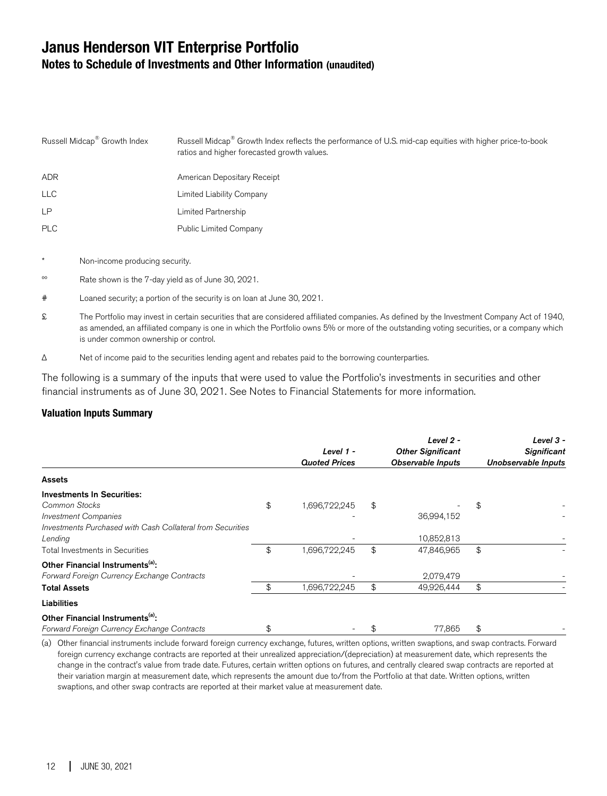## **Janus Henderson VIT Enterprise Portfolio Notes to Schedule of Investments and Other Information (unaudited)**

| Russell Midcap <sup>®</sup> Growth Index | Russell Midcap <sup>®</sup> Growth Index reflects the performance of U.S. mid-cap equities with higher price-to-book<br>ratios and higher forecasted growth values. |
|------------------------------------------|---------------------------------------------------------------------------------------------------------------------------------------------------------------------|
| <b>ADR</b>                               | American Depositary Receipt                                                                                                                                         |
| <b>LLC</b>                               | Limited Liability Company                                                                                                                                           |
| <b>LP</b>                                | Limited Partnership                                                                                                                                                 |
| <b>PLC</b>                               | <b>Public Limited Company</b>                                                                                                                                       |
|                                          |                                                                                                                                                                     |

- Non-income producing security.
- ºº Rate shown is the 7-day yield as of June 30, 2021.
- # Loaned security; a portion of the security is on loan at June 30, 2021.
- £ The Portfolio may invest in certain securities that are considered affiliated companies. As defined by the Investment Company Act of 1940, as amended, an affiliated company is one in which the Portfolio owns 5% or more of the outstanding voting securities, or a company which is under common ownership or control.
- Δ Net of income paid to the securities lending agent and rebates paid to the borrowing counterparties.

The following is a summary of the inputs that were used to value the Portfolio's investments in securities and other financial instruments as of June 30, 2021. See Notes to Financial Statements for more information.

#### **Valuation Inputs Summary**

|                                                                                                                                                            | Level 1 -<br><b>Quoted Prices</b> | Level 2 -<br><b>Other Significant</b><br><b>Observable Inputs</b> | Level 3 -<br><b>Significant</b><br>Unobservable Inputs |
|------------------------------------------------------------------------------------------------------------------------------------------------------------|-----------------------------------|-------------------------------------------------------------------|--------------------------------------------------------|
| <b>Assets</b>                                                                                                                                              |                                   |                                                                   |                                                        |
| <b>Investments In Securities:</b><br>Common Stocks<br><b>Investment Companies</b><br>Investments Purchased with Cash Collateral from Securities<br>Lending | \$<br>1,696,722,245               | \$<br>36,994,152<br>10,852,813                                    | \$                                                     |
| <b>Total Investments in Securities</b><br>Other Financial Instruments <sup>(a)</sup> :<br>Forward Foreign Currency Exchange Contracts                      | \$<br>1,696,722,245               | \$<br>47,846,965<br>2,079,479                                     | \$                                                     |
| <b>Total Assets</b>                                                                                                                                        | \$<br>,696,722,245                | \$<br>49,926,444                                                  | \$                                                     |
| Liabilities                                                                                                                                                |                                   |                                                                   |                                                        |
| Other Financial Instruments <sup>(a)</sup> :<br>Forward Foreign Currency Exchange Contracts                                                                | \$                                | 77,865                                                            | \$                                                     |

(a) Other financial instruments include forward foreign currency exchange, futures, written options, written swaptions, and swap contracts. Forward foreign currency exchange contracts are reported at their unrealized appreciation/(depreciation) at measurement date, which represents the change in the contract's value from trade date. Futures, certain written options on futures, and centrally cleared swap contracts are reported at their variation margin at measurement date, which represents the amount due to/from the Portfolio at that date. Written options, written swaptions, and other swap contracts are reported at their market value at measurement date.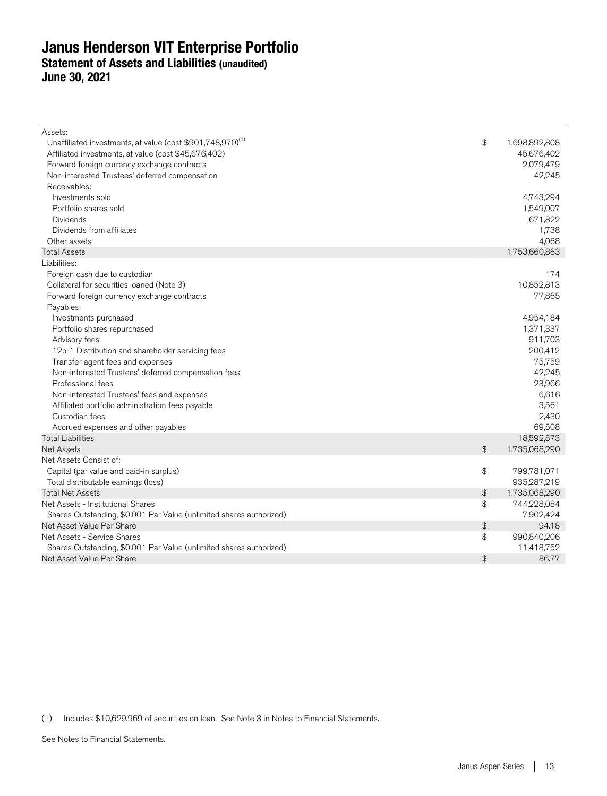### **Janus Henderson VIT Enterprise Portfolio Statement of Assets and Liabilities (unaudited) June 30, 2021**

| Assets:                                                                |               |               |
|------------------------------------------------------------------------|---------------|---------------|
| Unaffiliated investments, at value (cost \$901,748,970) <sup>(1)</sup> | \$            | 1,698,892,808 |
| Affiliated investments, at value (cost \$45,676,402)                   |               | 45,676,402    |
| Forward foreign currency exchange contracts                            |               | 2,079,479     |
| Non-interested Trustees' deferred compensation                         |               | 42,245        |
| Receivables:                                                           |               |               |
| Investments sold                                                       |               | 4,743,294     |
| Portfolio shares sold                                                  |               | 1,549,007     |
| <b>Dividends</b>                                                       |               | 671,822       |
| Dividends from affiliates                                              |               | 1,738         |
| Other assets                                                           |               | 4,068         |
| <b>Total Assets</b>                                                    |               | 1,753,660,863 |
| Liabilities:                                                           |               |               |
| Foreign cash due to custodian                                          |               | 174           |
| Collateral for securities loaned (Note 3)                              |               | 10,852,813    |
| Forward foreign currency exchange contracts                            |               | 77,865        |
| Payables:                                                              |               |               |
| Investments purchased                                                  |               | 4,954,184     |
| Portfolio shares repurchased                                           |               | 1,371,337     |
| Advisory fees                                                          |               | 911,703       |
| 12b-1 Distribution and shareholder servicing fees                      |               | 200,412       |
| Transfer agent fees and expenses                                       |               | 75,759        |
| Non-interested Trustees' deferred compensation fees                    |               | 42,245        |
| Professional fees                                                      |               | 23,966        |
| Non-interested Trustees' fees and expenses                             |               | 6,616         |
| Affiliated portfolio administration fees payable                       |               | 3,561         |
| Custodian fees                                                         |               | 2,430         |
| Accrued expenses and other payables                                    |               | 69,508        |
| <b>Total Liabilities</b>                                               |               | 18,592,573    |
| <b>Net Assets</b>                                                      | $\frac{1}{2}$ | 1,735,068,290 |
| Net Assets Consist of:                                                 |               |               |
| Capital (par value and paid-in surplus)                                | \$            | 799,781,071   |
| Total distributable earnings (loss)                                    |               | 935,287,219   |
| <b>Total Net Assets</b>                                                | \$            | 1,735,068,290 |
| Net Assets - Institutional Shares                                      | \$            | 744,228,084   |
| Shares Outstanding, \$0.001 Par Value (unlimited shares authorized)    |               | 7,902,424     |
| Net Asset Value Per Share                                              | \$            | 94.18         |
| Net Assets - Service Shares                                            | \$            | 990,840,206   |
| Shares Outstanding, \$0.001 Par Value (unlimited shares authorized)    |               | 11,418,752    |
| Net Asset Value Per Share                                              | $\frac{1}{2}$ | 86.77         |
|                                                                        |               |               |

(1) Includes \$10,629,969 of securities on loan. See Note 3 in Notes to Financial Statements.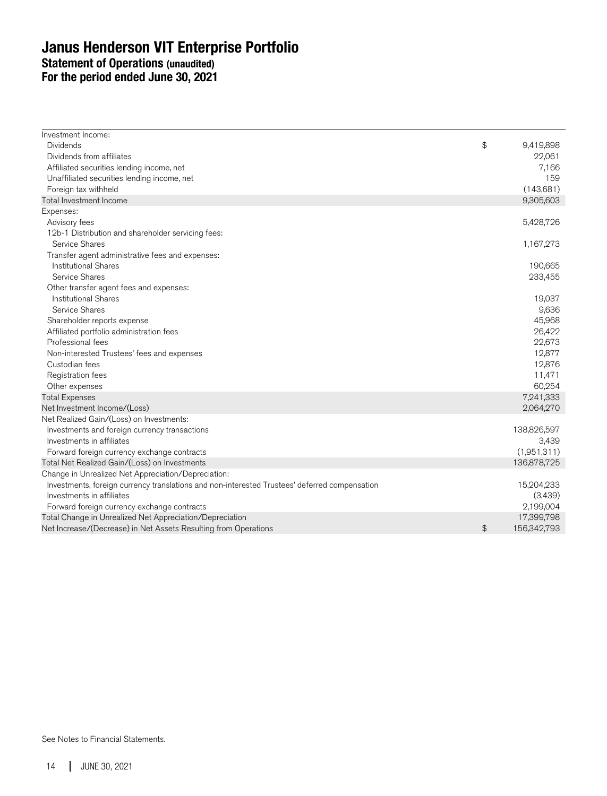### **Janus Henderson VIT Enterprise Portfolio Statement of Operations (unaudited) For the period ended June 30, 2021**

| Investment Income:                                                                            |                   |
|-----------------------------------------------------------------------------------------------|-------------------|
| <b>Dividends</b>                                                                              | \$<br>9,419,898   |
| Dividends from affiliates                                                                     | 22,061            |
| Affiliated securities lending income, net                                                     | 7,166             |
| Unaffiliated securities lending income, net                                                   | 159               |
| Foreign tax withheld                                                                          | (143,681)         |
| Total Investment Income                                                                       | 9,305,603         |
| Expenses:                                                                                     |                   |
| Advisory fees                                                                                 | 5,428,726         |
| 12b-1 Distribution and shareholder servicing fees:                                            |                   |
| Service Shares                                                                                | 1,167,273         |
| Transfer agent administrative fees and expenses:                                              |                   |
| <b>Institutional Shares</b>                                                                   | 190,665           |
| Service Shares                                                                                | 233,455           |
| Other transfer agent fees and expenses:                                                       |                   |
| <b>Institutional Shares</b>                                                                   | 19,037            |
| Service Shares                                                                                | 9,636             |
| Shareholder reports expense                                                                   | 45,968            |
| Affiliated portfolio administration fees                                                      | 26,422            |
| Professional fees                                                                             | 22,673            |
| Non-interested Trustees' fees and expenses                                                    | 12,877            |
| Custodian fees                                                                                | 12,876            |
| Registration fees                                                                             | 11,471            |
| Other expenses                                                                                | 60,254            |
| <b>Total Expenses</b>                                                                         | 7,241,333         |
| Net Investment Income/(Loss)                                                                  | 2,064,270         |
| Net Realized Gain/(Loss) on Investments:                                                      |                   |
| Investments and foreign currency transactions                                                 | 138,826,597       |
| Investments in affiliates                                                                     | 3,439             |
| Forward foreign currency exchange contracts                                                   | (1,951,311)       |
| Total Net Realized Gain/(Loss) on Investments                                                 | 136,878,725       |
| Change in Unrealized Net Appreciation/Depreciation:                                           |                   |
| Investments, foreign currency translations and non-interested Trustees' deferred compensation | 15,204,233        |
| Investments in affiliates                                                                     | (3,439)           |
| Forward foreign currency exchange contracts                                                   | 2,199,004         |
| Total Change in Unrealized Net Appreciation/Depreciation                                      | 17,399,798        |
| Net Increase/(Decrease) in Net Assets Resulting from Operations                               | \$<br>156,342,793 |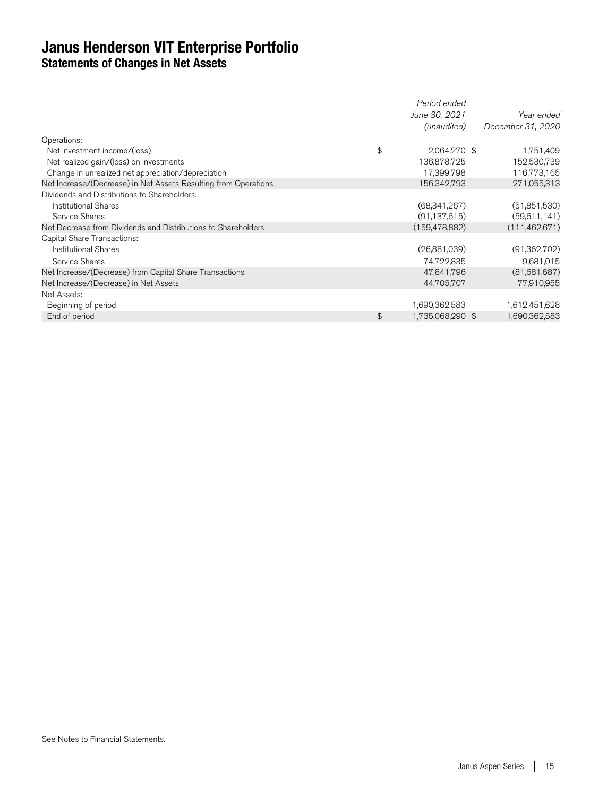## **Janus Henderson VIT Enterprise Portfolio Statements of Changes in Net Assets**

|                                                                 | Period ended           |                   |
|-----------------------------------------------------------------|------------------------|-------------------|
|                                                                 | June 30, 2021          | Year ended        |
|                                                                 | (unaudited)            | December 31, 2020 |
| Operations:                                                     |                        |                   |
| Net investment income/(loss)                                    | \$<br>2,064,270 \$     | 1,751,409         |
| Net realized gain/(loss) on investments                         | 136,878,725            | 152,530,739       |
| Change in unrealized net appreciation/depreciation              | 17,399,798             | 116,773,165       |
| Net Increase/(Decrease) in Net Assets Resulting from Operations | 156,342,793            | 271,055,313       |
| Dividends and Distributions to Shareholders:                    |                        |                   |
| <b>Institutional Shares</b>                                     | (68,341,267)           | (51,851,530)      |
| Service Shares                                                  | (91, 137, 615)         | (59,611,141)      |
| Net Decrease from Dividends and Distributions to Shareholders   | (159, 478, 882)        | (111,462,671)     |
| Capital Share Transactions:                                     |                        |                   |
| <b>Institutional Shares</b>                                     | (26,881,039)           | (91,362,702)      |
| Service Shares                                                  | 74,722,835             | 9,681,015         |
| Net Increase/(Decrease) from Capital Share Transactions         | 47,841,796             | (81,681,687)      |
| Net Increase/(Decrease) in Net Assets                           | 44,705,707             | 77,910,955        |
| Net Assets:                                                     |                        |                   |
| Beginning of period                                             | 1,690,362,583          | 1,612,451,628     |
| End of period                                                   | \$<br>1,735,068,290 \$ | 1,690,362,583     |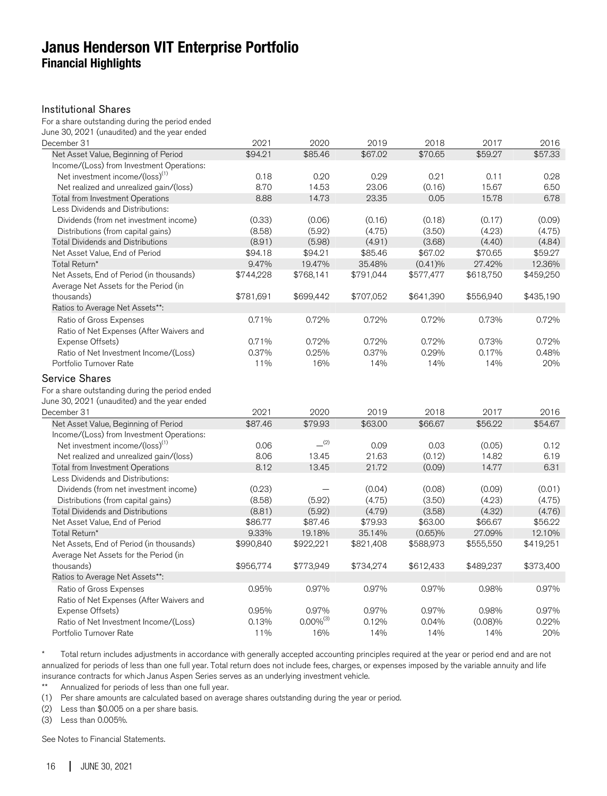## **Janus Henderson VIT Enterprise Portfolio Financial Highlights**

#### Institutional Shares

For a share outstanding during the period ended June 30, 2021 (unaudited) and the year ended

| December 31                                                                                                              | 2021      | 2020           | 2019      | 2018      | 2017      | 2016      |
|--------------------------------------------------------------------------------------------------------------------------|-----------|----------------|-----------|-----------|-----------|-----------|
| Net Asset Value, Beginning of Period                                                                                     | \$94.21   | \$85.46        | \$67.02   | \$70.65   | \$59.27   | \$57.33   |
| Income/(Loss) from Investment Operations:                                                                                |           |                |           |           |           |           |
| Net investment income/(loss) <sup>(1)</sup>                                                                              | 0.18      | 0.20           | 0.29      | 0.21      | 0.11      | 0.28      |
| Net realized and unrealized gain/(loss)                                                                                  | 8.70      | 14.53          | 23.06     | (0.16)    | 15.67     | 6.50      |
| Total from Investment Operations                                                                                         | 8.88      | 14.73          | 23.35     | 0.05      | 15.78     | 6.78      |
| Less Dividends and Distributions:                                                                                        |           |                |           |           |           |           |
| Dividends (from net investment income)                                                                                   | (0.33)    | (0.06)         | (0.16)    | (0.18)    | (0.17)    | (0.09)    |
| Distributions (from capital gains)                                                                                       | (8.58)    | (5.92)         | (4.75)    | (3.50)    | (4.23)    | (4.75)    |
| <b>Total Dividends and Distributions</b>                                                                                 | (8.91)    | (5.98)         | (4.91)    | (3.68)    | (4.40)    | (4.84)    |
| Net Asset Value, End of Period                                                                                           | \$94.18   | \$94.21        | \$85.46   | \$67.02   | \$70.65   | \$59.27   |
| Total Return*                                                                                                            | 9.47%     | 19.47%         | 35.48%    | (0.41)%   | 27.42%    | 12.36%    |
| Net Assets, End of Period (in thousands)                                                                                 | \$744,228 | \$768,141      | \$791,044 | \$577,477 | \$618,750 | \$459,250 |
| Average Net Assets for the Period (in                                                                                    |           |                |           |           |           |           |
| thousands)                                                                                                               | \$781,691 | \$699,442      | \$707,052 | \$641,390 | \$556,940 | \$435,190 |
| Ratios to Average Net Assets**:                                                                                          |           |                |           |           |           |           |
| Ratio of Gross Expenses                                                                                                  | 0.71%     | 0.72%          | 0.72%     | 0.72%     | 0.73%     | 0.72%     |
| Ratio of Net Expenses (After Waivers and                                                                                 |           |                |           |           |           |           |
| Expense Offsets)                                                                                                         | 0.71%     | 0.72%          | 0.72%     | 0.72%     | 0.73%     | 0.72%     |
| Ratio of Net Investment Income/(Loss)                                                                                    | 0.37%     | 0.25%          | 0.37%     | 0.29%     | 0.17%     | 0.48%     |
| Portfolio Turnover Rate                                                                                                  | 11%       | 16%            | 14%       | 14%       | 14%       | 20%       |
| <b>Service Shares</b><br>For a share outstanding during the period ended<br>June 30, 2021 (unaudited) and the year ended |           |                |           |           |           |           |
| December 31                                                                                                              | 2021      | 2020           | 2019      | 2018      | 2017      | 2016      |
| Net Asset Value, Beginning of Period                                                                                     | \$87.46   | \$79.93        | \$63.00   | \$66.67   | \$56.22   | \$54.67   |
| Income/(Loss) from Investment Operations:                                                                                |           |                |           |           |           |           |
| Net investment income/(loss) <sup>(1)</sup>                                                                              | 0.06      | (2)            | 0.09      | 0.03      | (0.05)    | 0.12      |
| Net realized and unrealized gain/(loss)                                                                                  | 8.06      | 13.45          | 21.63     | (0.12)    | 14.82     | 6.19      |
| <b>Total from Investment Operations</b>                                                                                  | 8.12      | 13.45          | 21.72     | (0.09)    | 14.77     | 6.31      |
| Less Dividends and Distributions:                                                                                        |           |                |           |           |           |           |
| Dividends (from net investment income)                                                                                   | (0.23)    |                | (0.04)    | (0.08)    | (0.09)    | (0.01)    |
| Distributions (from capital gains)                                                                                       | (8.58)    | (5.92)         | (4.75)    | (3.50)    | (4.23)    | (4.75)    |
| <b>Total Dividends and Distributions</b>                                                                                 | (8.81)    | (5.92)         | (4.79)    | (3.58)    | (4.32)    | (4.76)    |
| Net Asset Value, End of Period                                                                                           | \$86.77   | \$87.46        | \$79.93   | \$63.00   | \$66.67   | \$56.22   |
| Total Return*                                                                                                            | 9.33%     | 19.18%         | 35.14%    | (0.65)%   | 27.09%    | 12.10%    |
| Net Assets, End of Period (in thousands)                                                                                 | \$990,840 | \$922,221      | \$821,408 | \$588,973 | \$555,550 | \$419,251 |
| Average Net Assets for the Period (in                                                                                    |           |                |           |           |           |           |
| thousands)                                                                                                               | \$956,774 | \$773,949      | \$734,274 | \$612,433 | \$489,237 | \$373,400 |
| Ratios to Average Net Assets**:                                                                                          |           |                |           |           |           |           |
| Ratio of Gross Expenses                                                                                                  | 0.95%     | 0.97%          | 0.97%     | 0.97%     | 0.98%     | 0.97%     |
| Ratio of Net Expenses (After Waivers and                                                                                 |           |                |           |           |           |           |
| Expense Offsets)                                                                                                         | 0.95%     | 0.97%          | 0.97%     | 0.97%     | 0.98%     | 0.97%     |
| Ratio of Net Investment Income/(Loss)                                                                                    | 0.13%     | $0.00\%^{(3)}$ | 0.12%     | 0.04%     | (0.08)%   | 0.22%     |
| Portfolio Turnover Rate                                                                                                  | 11%       | 16%            | 14%       | 14%       | 14%       | 20%       |

\* Total return includes adjustments in accordance with generally accepted accounting principles required at the year or period end and are not annualized for periods of less than one full year. Total return does not include fees, charges, or expenses imposed by the variable annuity and life insurance contracts for which Janus Aspen Series serves as an underlying investment vehicle.<br>\*\* Annualized for periods of less than one full year

Annualized for periods of less than one full year.

(1) Per share amounts are calculated based on average shares outstanding during the year or period.

(2) Less than \$0.005 on a per share basis.

(3) Less than 0.005%.

See Notes to Financial Statements.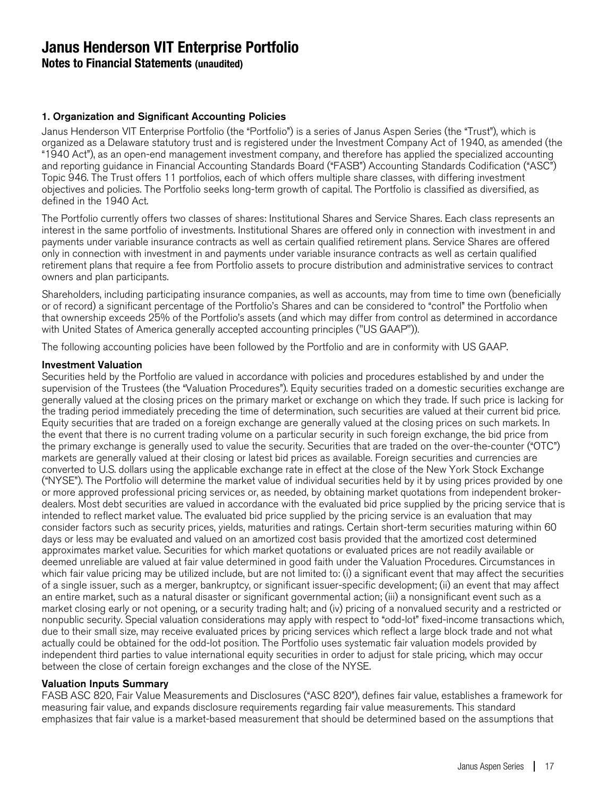**Notes to Financial Statements (unaudited)**

#### 1. Organization and Significant Accounting Policies

Janus Henderson VIT Enterprise Portfolio (the "Portfolio") is a series of Janus Aspen Series (the "Trust"), which is organized as a Delaware statutory trust and is registered under the Investment Company Act of 1940, as amended (the "1940 Act"), as an open-end management investment company, and therefore has applied the specialized accounting and reporting guidance in Financial Accounting Standards Board ("FASB") Accounting Standards Codification ("ASC") Topic 946. The Trust offers 11 portfolios, each of which offers multiple share classes, with differing investment objectives and policies. The Portfolio seeks long-term growth of capital. The Portfolio is classified as diversified, as defined in the 1940 Act.

The Portfolio currently offers two classes of shares: Institutional Shares and Service Shares. Each class represents an interest in the same portfolio of investments. Institutional Shares are offered only in connection with investment in and payments under variable insurance contracts as well as certain qualified retirement plans. Service Shares are offered only in connection with investment in and payments under variable insurance contracts as well as certain qualified retirement plans that require a fee from Portfolio assets to procure distribution and administrative services to contract owners and plan participants.

Shareholders, including participating insurance companies, as well as accounts, may from time to time own (beneficially or of record) a significant percentage of the Portfolio's Shares and can be considered to "control" the Portfolio when that ownership exceeds 25% of the Portfolio's assets (and which may differ from control as determined in accordance with United States of America generally accepted accounting principles ("US GAAP")).

The following accounting policies have been followed by the Portfolio and are in conformity with US GAAP.

#### Investment Valuation

Securities held by the Portfolio are valued in accordance with policies and procedures established by and under the supervision of the Trustees (the "Valuation Procedures"). Equity securities traded on a domestic securities exchange are generally valued at the closing prices on the primary market or exchange on which they trade. If such price is lacking for the trading period immediately preceding the time of determination, such securities are valued at their current bid price. Equity securities that are traded on a foreign exchange are generally valued at the closing prices on such markets. In the event that there is no current trading volume on a particular security in such foreign exchange, the bid price from the primary exchange is generally used to value the security. Securities that are traded on the over-the-counter ("OTC") markets are generally valued at their closing or latest bid prices as available. Foreign securities and currencies are converted to U.S. dollars using the applicable exchange rate in effect at the close of the New York Stock Exchange ("NYSE"). The Portfolio will determine the market value of individual securities held by it by using prices provided by one or more approved professional pricing services or, as needed, by obtaining market quotations from independent brokerdealers. Most debt securities are valued in accordance with the evaluated bid price supplied by the pricing service that is intended to reflect market value. The evaluated bid price supplied by the pricing service is an evaluation that may consider factors such as security prices, yields, maturities and ratings. Certain short-term securities maturing within 60 days or less may be evaluated and valued on an amortized cost basis provided that the amortized cost determined approximates market value. Securities for which market quotations or evaluated prices are not readily available or deemed unreliable are valued at fair value determined in good faith under the Valuation Procedures. Circumstances in which fair value pricing may be utilized include, but are not limited to: (i) a significant event that may affect the securities of a single issuer, such as a merger, bankruptcy, or significant issuer-specific development; (ii) an event that may affect an entire market, such as a natural disaster or significant governmental action; (iii) a nonsignificant event such as a market closing early or not opening, or a security trading halt; and (iv) pricing of a nonvalued security and a restricted or nonpublic security. Special valuation considerations may apply with respect to "odd-lot" fixed-income transactions which, due to their small size, may receive evaluated prices by pricing services which reflect a large block trade and not what actually could be obtained for the odd-lot position. The Portfolio uses systematic fair valuation models provided by independent third parties to value international equity securities in order to adjust for stale pricing, which may occur between the close of certain foreign exchanges and the close of the NYSE.

#### Valuation Inputs Summary

FASB ASC 820, Fair Value Measurements and Disclosures ("ASC 820"), defines fair value, establishes a framework for measuring fair value, and expands disclosure requirements regarding fair value measurements. This standard emphasizes that fair value is a market-based measurement that should be determined based on the assumptions that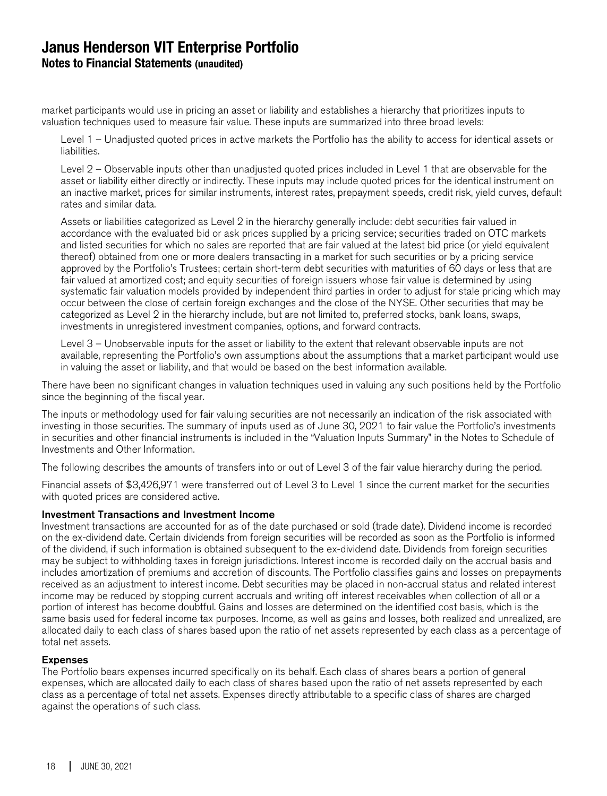## **Janus Henderson VIT Enterprise Portfolio Notes to Financial Statements (unaudited)**

market participants would use in pricing an asset or liability and establishes a hierarchy that prioritizes inputs to valuation techniques used to measure fair value. These inputs are summarized into three broad levels:

Level 1 – Unadjusted quoted prices in active markets the Portfolio has the ability to access for identical assets or liabilities.

Level 2 – Observable inputs other than unadjusted quoted prices included in Level 1 that are observable for the asset or liability either directly or indirectly. These inputs may include quoted prices for the identical instrument on an inactive market, prices for similar instruments, interest rates, prepayment speeds, credit risk, yield curves, default rates and similar data.

Assets or liabilities categorized as Level 2 in the hierarchy generally include: debt securities fair valued in accordance with the evaluated bid or ask prices supplied by a pricing service; securities traded on OTC markets and listed securities for which no sales are reported that are fair valued at the latest bid price (or yield equivalent thereof) obtained from one or more dealers transacting in a market for such securities or by a pricing service approved by the Portfolio's Trustees; certain short-term debt securities with maturities of 60 days or less that are fair valued at amortized cost; and equity securities of foreign issuers whose fair value is determined by using systematic fair valuation models provided by independent third parties in order to adjust for stale pricing which may occur between the close of certain foreign exchanges and the close of the NYSE. Other securities that may be categorized as Level 2 in the hierarchy include, but are not limited to, preferred stocks, bank loans, swaps, investments in unregistered investment companies, options, and forward contracts.

Level 3 – Unobservable inputs for the asset or liability to the extent that relevant observable inputs are not available, representing the Portfolio's own assumptions about the assumptions that a market participant would use in valuing the asset or liability, and that would be based on the best information available.

There have been no significant changes in valuation techniques used in valuing any such positions held by the Portfolio since the beginning of the fiscal year.

The inputs or methodology used for fair valuing securities are not necessarily an indication of the risk associated with investing in those securities. The summary of inputs used as of June 30, 2021 to fair value the Portfolio's investments in securities and other financial instruments is included in the "Valuation Inputs Summary" in the Notes to Schedule of Investments and Other Information.

The following describes the amounts of transfers into or out of Level 3 of the fair value hierarchy during the period.

Financial assets of \$3,426,971 were transferred out of Level 3 to Level 1 since the current market for the securities with quoted prices are considered active.

#### Investment Transactions and Investment Income

Investment transactions are accounted for as of the date purchased or sold (trade date). Dividend income is recorded on the ex-dividend date. Certain dividends from foreign securities will be recorded as soon as the Portfolio is informed of the dividend, if such information is obtained subsequent to the ex-dividend date. Dividends from foreign securities may be subject to withholding taxes in foreign jurisdictions. Interest income is recorded daily on the accrual basis and includes amortization of premiums and accretion of discounts. The Portfolio classifies gains and losses on prepayments received as an adjustment to interest income. Debt securities may be placed in non-accrual status and related interest income may be reduced by stopping current accruals and writing off interest receivables when collection of all or a portion of interest has become doubtful. Gains and losses are determined on the identified cost basis, which is the same basis used for federal income tax purposes. Income, as well as gains and losses, both realized and unrealized, are allocated daily to each class of shares based upon the ratio of net assets represented by each class as a percentage of total net assets.

#### Expenses

The Portfolio bears expenses incurred specifically on its behalf. Each class of shares bears a portion of general expenses, which are allocated daily to each class of shares based upon the ratio of net assets represented by each class as a percentage of total net assets. Expenses directly attributable to a specific class of shares are charged against the operations of such class.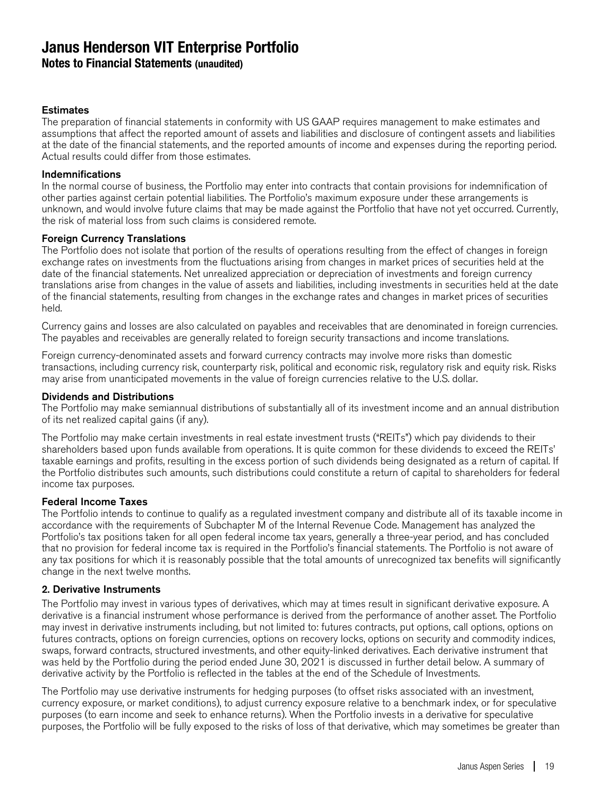#### **Notes to Financial Statements (unaudited)**

#### **Estimates**

The preparation of financial statements in conformity with US GAAP requires management to make estimates and assumptions that affect the reported amount of assets and liabilities and disclosure of contingent assets and liabilities at the date of the financial statements, and the reported amounts of income and expenses during the reporting period. Actual results could differ from those estimates.

#### Indemnifications

In the normal course of business, the Portfolio may enter into contracts that contain provisions for indemnification of other parties against certain potential liabilities. The Portfolio's maximum exposure under these arrangements is unknown, and would involve future claims that may be made against the Portfolio that have not yet occurred. Currently, the risk of material loss from such claims is considered remote.

#### Foreign Currency Translations

The Portfolio does not isolate that portion of the results of operations resulting from the effect of changes in foreign exchange rates on investments from the fluctuations arising from changes in market prices of securities held at the date of the financial statements. Net unrealized appreciation or depreciation of investments and foreign currency translations arise from changes in the value of assets and liabilities, including investments in securities held at the date of the financial statements, resulting from changes in the exchange rates and changes in market prices of securities held.

Currency gains and losses are also calculated on payables and receivables that are denominated in foreign currencies. The payables and receivables are generally related to foreign security transactions and income translations.

Foreign currency-denominated assets and forward currency contracts may involve more risks than domestic transactions, including currency risk, counterparty risk, political and economic risk, regulatory risk and equity risk. Risks may arise from unanticipated movements in the value of foreign currencies relative to the U.S. dollar.

#### Dividends and Distributions

The Portfolio may make semiannual distributions of substantially all of its investment income and an annual distribution of its net realized capital gains (if any).

The Portfolio may make certain investments in real estate investment trusts ("REITs") which pay dividends to their shareholders based upon funds available from operations. It is quite common for these dividends to exceed the REITs' taxable earnings and profits, resulting in the excess portion of such dividends being designated as a return of capital. If the Portfolio distributes such amounts, such distributions could constitute a return of capital to shareholders for federal income tax purposes.

#### Federal Income Taxes

The Portfolio intends to continue to qualify as a regulated investment company and distribute all of its taxable income in accordance with the requirements of Subchapter M of the Internal Revenue Code. Management has analyzed the Portfolio's tax positions taken for all open federal income tax years, generally a three-year period, and has concluded that no provision for federal income tax is required in the Portfolio's financial statements. The Portfolio is not aware of any tax positions for which it is reasonably possible that the total amounts of unrecognized tax benefits will significantly change in the next twelve months.

#### 2. Derivative Instruments

The Portfolio may invest in various types of derivatives, which may at times result in significant derivative exposure. A derivative is a financial instrument whose performance is derived from the performance of another asset. The Portfolio may invest in derivative instruments including, but not limited to: futures contracts, put options, call options, options on futures contracts, options on foreign currencies, options on recovery locks, options on security and commodity indices, swaps, forward contracts, structured investments, and other equity-linked derivatives. Each derivative instrument that was held by the Portfolio during the period ended June 30, 2021 is discussed in further detail below. A summary of derivative activity by the Portfolio is reflected in the tables at the end of the Schedule of Investments.

The Portfolio may use derivative instruments for hedging purposes (to offset risks associated with an investment, currency exposure, or market conditions), to adjust currency exposure relative to a benchmark index, or for speculative purposes (to earn income and seek to enhance returns). When the Portfolio invests in a derivative for speculative purposes, the Portfolio will be fully exposed to the risks of loss of that derivative, which may sometimes be greater than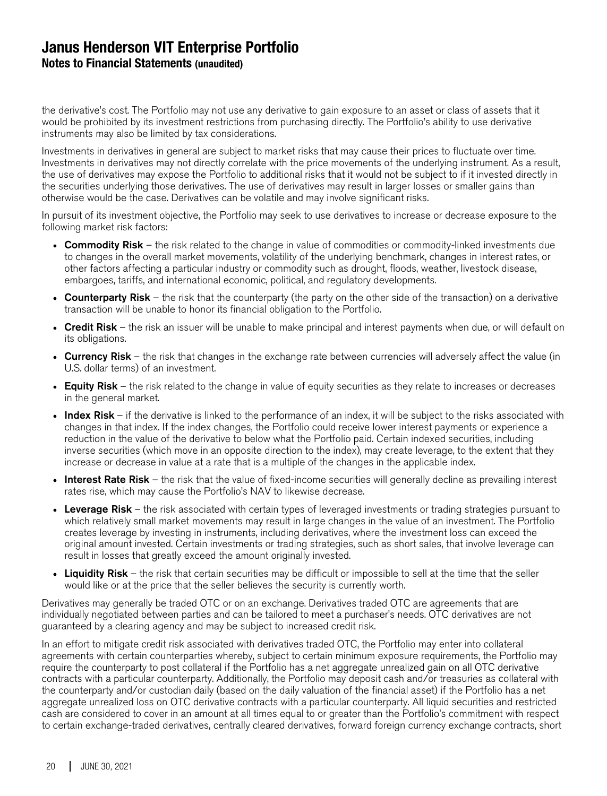## **Janus Henderson VIT Enterprise Portfolio Notes to Financial Statements (unaudited)**

the derivative's cost. The Portfolio may not use any derivative to gain exposure to an asset or class of assets that it would be prohibited by its investment restrictions from purchasing directly. The Portfolio's ability to use derivative instruments may also be limited by tax considerations.

Investments in derivatives in general are subject to market risks that may cause their prices to fluctuate over time. Investments in derivatives may not directly correlate with the price movements of the underlying instrument. As a result, the use of derivatives may expose the Portfolio to additional risks that it would not be subject to if it invested directly in the securities underlying those derivatives. The use of derivatives may result in larger losses or smaller gains than otherwise would be the case. Derivatives can be volatile and may involve significant risks.

In pursuit of its investment objective, the Portfolio may seek to use derivatives to increase or decrease exposure to the following market risk factors:

- Commodity Risk the risk related to the change in value of commodities or commodity-linked investments due to changes in the overall market movements, volatility of the underlying benchmark, changes in interest rates, or other factors affecting a particular industry or commodity such as drought, floods, weather, livestock disease, embargoes, tariffs, and international economic, political, and regulatory developments.
- Counterparty Risk the risk that the counterparty (the party on the other side of the transaction) on a derivative transaction will be unable to honor its financial obligation to the Portfolio.
- Credit Risk the risk an issuer will be unable to make principal and interest payments when due, or will default on its obligations.
- Currency Risk the risk that changes in the exchange rate between currencies will adversely affect the value (in U.S. dollar terms) of an investment.
- Equity Risk the risk related to the change in value of equity securities as they relate to increases or decreases in the general market.
- Index Risk if the derivative is linked to the performance of an index, it will be subject to the risks associated with changes in that index. If the index changes, the Portfolio could receive lower interest payments or experience a reduction in the value of the derivative to below what the Portfolio paid. Certain indexed securities, including inverse securities (which move in an opposite direction to the index), may create leverage, to the extent that they increase or decrease in value at a rate that is a multiple of the changes in the applicable index.
- Interest Rate Risk the risk that the value of fixed-income securities will generally decline as prevailing interest rates rise, which may cause the Portfolio's NAV to likewise decrease.
- Leverage Risk the risk associated with certain types of leveraged investments or trading strategies pursuant to which relatively small market movements may result in large changes in the value of an investment. The Portfolio creates leverage by investing in instruments, including derivatives, where the investment loss can exceed the original amount invested. Certain investments or trading strategies, such as short sales, that involve leverage can result in losses that greatly exceed the amount originally invested.
- Liquidity Risk the risk that certain securities may be difficult or impossible to sell at the time that the seller would like or at the price that the seller believes the security is currently worth.

Derivatives may generally be traded OTC or on an exchange. Derivatives traded OTC are agreements that are individually negotiated between parties and can be tailored to meet a purchaser's needs. OTC derivatives are not guaranteed by a clearing agency and may be subject to increased credit risk.

In an effort to mitigate credit risk associated with derivatives traded OTC, the Portfolio may enter into collateral agreements with certain counterparties whereby, subject to certain minimum exposure requirements, the Portfolio may require the counterparty to post collateral if the Portfolio has a net aggregate unrealized gain on all OTC derivative contracts with a particular counterparty. Additionally, the Portfolio may deposit cash and/or treasuries as collateral with the counterparty and/or custodian daily (based on the daily valuation of the financial asset) if the Portfolio has a net aggregate unrealized loss on OTC derivative contracts with a particular counterparty. All liquid securities and restricted cash are considered to cover in an amount at all times equal to or greater than the Portfolio's commitment with respect to certain exchange-traded derivatives, centrally cleared derivatives, forward foreign currency exchange contracts, short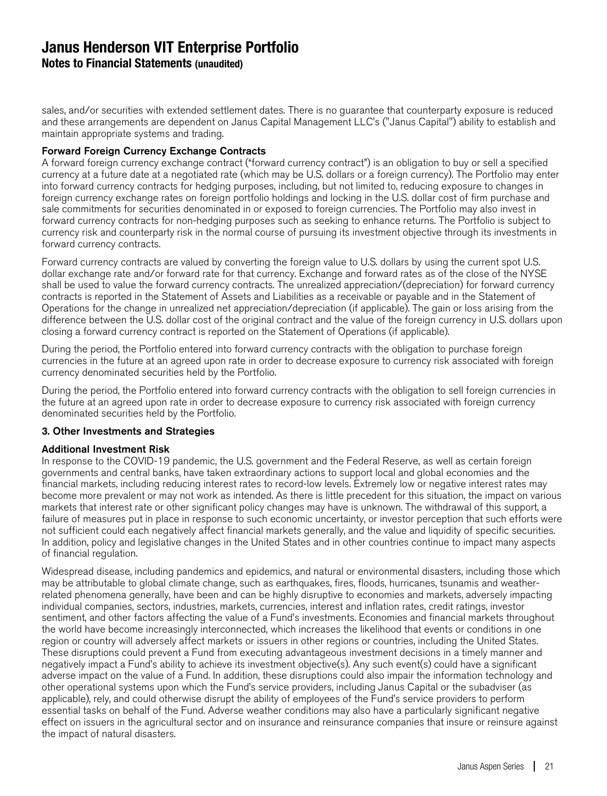**Notes to Financial Statements (unaudited)**

sales, and/or securities with extended settlement dates. There is no guarantee that counterparty exposure is reduced and these arrangements are dependent on Janus Capital Management LLC's ("Janus Capital") ability to establish and maintain appropriate systems and trading.

#### Forward Foreign Currency Exchange Contracts

A forward foreign currency exchange contract ("forward currency contract") is an obligation to buy or sell a specified currency at a future date at a negotiated rate (which may be U.S. dollars or a foreign currency). The Portfolio may enter into forward currency contracts for hedging purposes, including, but not limited to, reducing exposure to changes in foreign currency exchange rates on foreign portfolio holdings and locking in the U.S. dollar cost of firm purchase and sale commitments for securities denominated in or exposed to foreign currencies. The Portfolio may also invest in forward currency contracts for non-hedging purposes such as seeking to enhance returns. The Portfolio is subject to currency risk and counterparty risk in the normal course of pursuing its investment objective through its investments in forward currency contracts.

Forward currency contracts are valued by converting the foreign value to U.S. dollars by using the current spot U.S. dollar exchange rate and/or forward rate for that currency. Exchange and forward rates as of the close of the NYSE shall be used to value the forward currency contracts. The unrealized appreciation/(depreciation) for forward currency contracts is reported in the Statement of Assets and Liabilities as a receivable or payable and in the Statement of Operations for the change in unrealized net appreciation/depreciation (if applicable). The gain or loss arising from the difference between the U.S. dollar cost of the original contract and the value of the foreign currency in U.S. dollars upon closing a forward currency contract is reported on the Statement of Operations (if applicable).

During the period, the Portfolio entered into forward currency contracts with the obligation to purchase foreign currencies in the future at an agreed upon rate in order to decrease exposure to currency risk associated with foreign currency denominated securities held by the Portfolio.

During the period, the Portfolio entered into forward currency contracts with the obligation to sell foreign currencies in the future at an agreed upon rate in order to decrease exposure to currency risk associated with foreign currency denominated securities held by the Portfolio.

#### 3. Other Investments and Strategies

#### Additional Investment Risk

In response to the COVID-19 pandemic, the U.S. government and the Federal Reserve, as well as certain foreign governments and central banks, have taken extraordinary actions to support local and global economies and the financial markets, including reducing interest rates to record-low levels. Extremely low or negative interest rates may become more prevalent or may not work as intended. As there is little precedent for this situation, the impact on various markets that interest rate or other significant policy changes may have is unknown. The withdrawal of this support, a failure of measures put in place in response to such economic uncertainty, or investor perception that such efforts were not sufficient could each negatively affect financial markets generally, and the value and liquidity of specific securities. In addition, policy and legislative changes in the United States and in other countries continue to impact many aspects of financial regulation.

Widespread disease, including pandemics and epidemics, and natural or environmental disasters, including those which may be attributable to global climate change, such as earthquakes, fires, floods, hurricanes, tsunamis and weatherrelated phenomena generally, have been and can be highly disruptive to economies and markets, adversely impacting individual companies, sectors, industries, markets, currencies, interest and inflation rates, credit ratings, investor sentiment, and other factors affecting the value of a Fund's investments. Economies and financial markets throughout the world have become increasingly interconnected, which increases the likelihood that events or conditions in one region or country will adversely affect markets or issuers in other regions or countries, including the United States. These disruptions could prevent a Fund from executing advantageous investment decisions in a timely manner and negatively impact a Fund's ability to achieve its investment objective(s). Any such event(s) could have a significant adverse impact on the value of a Fund. In addition, these disruptions could also impair the information technology and other operational systems upon which the Fund's service providers, including Janus Capital or the subadviser (as applicable), rely, and could otherwise disrupt the ability of employees of the Fund's service providers to perform essential tasks on behalf of the Fund. Adverse weather conditions may also have a particularly significant negative effect on issuers in the agricultural sector and on insurance and reinsurance companies that insure or reinsure against the impact of natural disasters.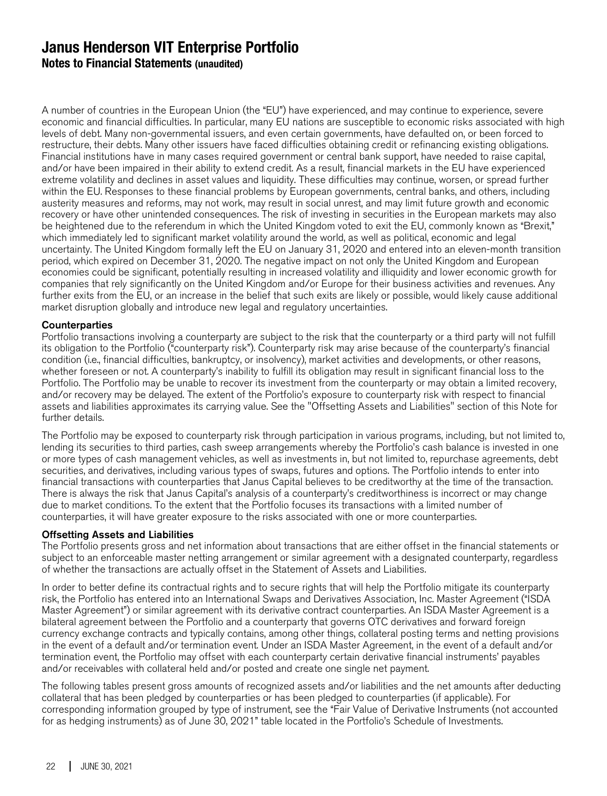**Notes to Financial Statements (unaudited)**

A number of countries in the European Union (the "EU") have experienced, and may continue to experience, severe economic and financial difficulties. In particular, many EU nations are susceptible to economic risks associated with high levels of debt. Many non-governmental issuers, and even certain governments, have defaulted on, or been forced to restructure, their debts. Many other issuers have faced difficulties obtaining credit or refinancing existing obligations. Financial institutions have in many cases required government or central bank support, have needed to raise capital, and/or have been impaired in their ability to extend credit. As a result, financial markets in the EU have experienced extreme volatility and declines in asset values and liquidity. These difficulties may continue, worsen, or spread further within the EU. Responses to these financial problems by European governments, central banks, and others, including austerity measures and reforms, may not work, may result in social unrest, and may limit future growth and economic recovery or have other unintended consequences. The risk of investing in securities in the European markets may also be heightened due to the referendum in which the United Kingdom voted to exit the EU, commonly known as "Brexit," which immediately led to significant market volatility around the world, as well as political, economic and legal uncertainty. The United Kingdom formally left the EU on January 31, 2020 and entered into an eleven-month transition period, which expired on December 31, 2020. The negative impact on not only the United Kingdom and European economies could be significant, potentially resulting in increased volatility and illiquidity and lower economic growth for companies that rely significantly on the United Kingdom and/or Europe for their business activities and revenues. Any further exits from the EU, or an increase in the belief that such exits are likely or possible, would likely cause additional market disruption globally and introduce new legal and regulatory uncertainties.

#### **Counterparties**

Portfolio transactions involving a counterparty are subject to the risk that the counterparty or a third party will not fulfill its obligation to the Portfolio ("counterparty risk"). Counterparty risk may arise because of the counterparty's financial condition (i.e., financial difficulties, bankruptcy, or insolvency), market activities and developments, or other reasons, whether foreseen or not. A counterparty's inability to fulfill its obligation may result in significant financial loss to the Portfolio. The Portfolio may be unable to recover its investment from the counterparty or may obtain a limited recovery, and/or recovery may be delayed. The extent of the Portfolio's exposure to counterparty risk with respect to financial assets and liabilities approximates its carrying value. See the "Offsetting Assets and Liabilities" section of this Note for further details.

The Portfolio may be exposed to counterparty risk through participation in various programs, including, but not limited to, lending its securities to third parties, cash sweep arrangements whereby the Portfolio's cash balance is invested in one or more types of cash management vehicles, as well as investments in, but not limited to, repurchase agreements, debt securities, and derivatives, including various types of swaps, futures and options. The Portfolio intends to enter into financial transactions with counterparties that Janus Capital believes to be creditworthy at the time of the transaction. There is always the risk that Janus Capital's analysis of a counterparty's creditworthiness is incorrect or may change due to market conditions. To the extent that the Portfolio focuses its transactions with a limited number of counterparties, it will have greater exposure to the risks associated with one or more counterparties.

#### Offsetting Assets and Liabilities

The Portfolio presents gross and net information about transactions that are either offset in the financial statements or subject to an enforceable master netting arrangement or similar agreement with a designated counterparty, regardless of whether the transactions are actually offset in the Statement of Assets and Liabilities.

In order to better define its contractual rights and to secure rights that will help the Portfolio mitigate its counterparty risk, the Portfolio has entered into an International Swaps and Derivatives Association, Inc. Master Agreement ("ISDA Master Agreement") or similar agreement with its derivative contract counterparties. An ISDA Master Agreement is a bilateral agreement between the Portfolio and a counterparty that governs OTC derivatives and forward foreign currency exchange contracts and typically contains, among other things, collateral posting terms and netting provisions in the event of a default and/or termination event. Under an ISDA Master Agreement, in the event of a default and/or termination event, the Portfolio may offset with each counterparty certain derivative financial instruments' payables and/or receivables with collateral held and/or posted and create one single net payment.

The following tables present gross amounts of recognized assets and/or liabilities and the net amounts after deducting collateral that has been pledged by counterparties or has been pledged to counterparties (if applicable). For corresponding information grouped by type of instrument, see the "Fair Value of Derivative Instruments (not accounted for as hedging instruments) as of June 30, 2021" table located in the Portfolio's Schedule of Investments.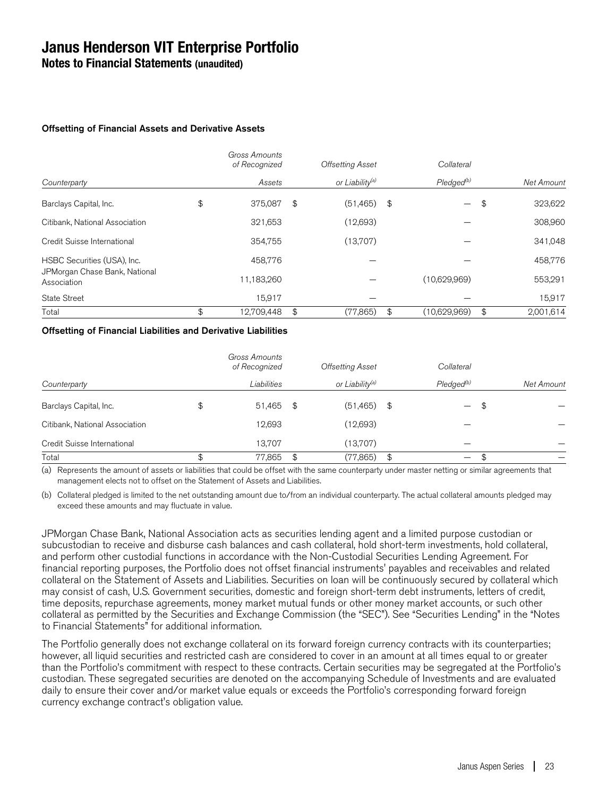**Notes to Financial Statements (unaudited)**

#### Offsetting of Financial Assets and Derivative Assets

|                                              |    | Gross Amounts<br>of Recognized |    | <b>Offsetting Asset</b>     |    | Collateral          |    |            |  |
|----------------------------------------------|----|--------------------------------|----|-----------------------------|----|---------------------|----|------------|--|
| Counterparty                                 |    | Assets                         |    | or Liability <sup>(a)</sup> |    | $P$ ledged $^{(b)}$ |    | Net Amount |  |
| Barclays Capital, Inc.                       | \$ | 375,087                        | \$ | (51, 465)                   | \$ | —                   | \$ | 323,622    |  |
| Citibank, National Association               |    | 321,653                        |    | (12,693)                    |    |                     |    | 308,960    |  |
| Credit Suisse International                  |    | 354.755                        |    | (13,707)                    |    |                     |    | 341,048    |  |
| HSBC Securities (USA), Inc.                  |    | 458.776                        |    |                             |    |                     |    | 458,776    |  |
| JPMorgan Chase Bank, National<br>Association |    | 11,183,260                     |    |                             |    | (10,629,969)        |    | 553,291    |  |
| State Street                                 |    | 15,917                         |    |                             |    |                     |    | 15,917     |  |
| Total                                        | \$ | 12.709.448                     | \$ | (77,865)                    | \$ | (10.629.969)        | \$ | 2.001.614  |  |

#### Offsetting of Financial Liabilities and Derivative Liabilities

|                                |             | Gross Amounts<br>of Recognized |               | <b>Offsetting Asset</b> |                     | Collateral               |            |  |
|--------------------------------|-------------|--------------------------------|---------------|-------------------------|---------------------|--------------------------|------------|--|
| Counterparty                   | Liabilities |                                | or Liability® |                         | $P$ ledged $^{(b)}$ |                          | Net Amount |  |
| Barclays Capital, Inc.         | \$          | 51,465 \$                      |               | (51, 465)               | \$                  | $\overline{\phantom{a}}$ | \$         |  |
| Citibank, National Association |             | 12,693                         |               | (12,693)                |                     |                          |            |  |
| Credit Suisse International    |             | 13.707                         |               | (13.707)                |                     |                          |            |  |
| Total                          | J           | 77,865                         | \$            | (77,865)                | \$                  | $\overline{\phantom{m}}$ |            |  |

(a) Represents the amount of assets or liabilities that could be offset with the same counterparty under master netting or similar agreements that management elects not to offset on the Statement of Assets and Liabilities.

(b) Collateral pledged is limited to the net outstanding amount due to/from an individual counterparty. The actual collateral amounts pledged may exceed these amounts and may fluctuate in value.

JPMorgan Chase Bank, National Association acts as securities lending agent and a limited purpose custodian or subcustodian to receive and disburse cash balances and cash collateral, hold short-term investments, hold collateral, and perform other custodial functions in accordance with the Non-Custodial Securities Lending Agreement. For financial reporting purposes, the Portfolio does not offset financial instruments' payables and receivables and related collateral on the Statement of Assets and Liabilities. Securities on loan will be continuously secured by collateral which may consist of cash, U.S. Government securities, domestic and foreign short-term debt instruments, letters of credit, time deposits, repurchase agreements, money market mutual funds or other money market accounts, or such other collateral as permitted by the Securities and Exchange Commission (the "SEC"). See "Securities Lending" in the "Notes to Financial Statements" for additional information.

The Portfolio generally does not exchange collateral on its forward foreign currency contracts with its counterparties; however, all liquid securities and restricted cash are considered to cover in an amount at all times equal to or greater than the Portfolio's commitment with respect to these contracts. Certain securities may be segregated at the Portfolio's custodian. These segregated securities are denoted on the accompanying Schedule of Investments and are evaluated daily to ensure their cover and/or market value equals or exceeds the Portfolio's corresponding forward foreign currency exchange contract's obligation value.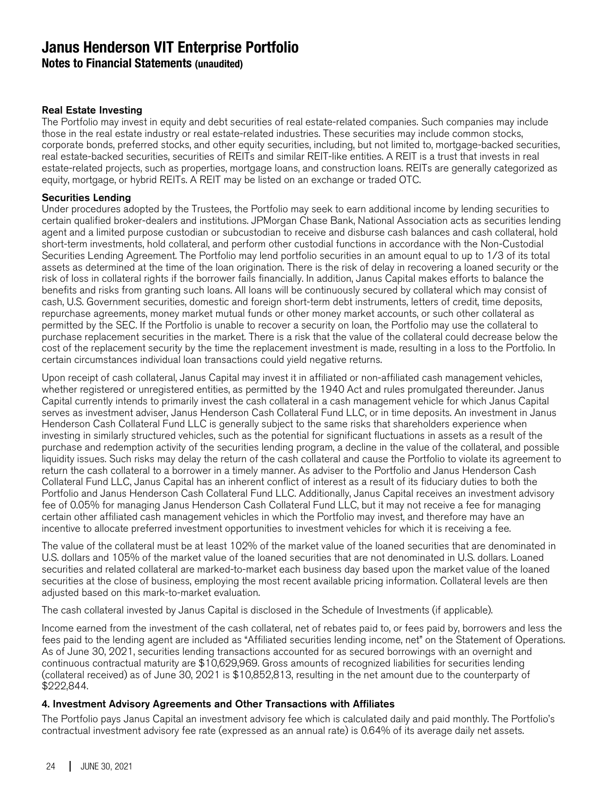**Notes to Financial Statements (unaudited)**

#### Real Estate Investing

The Portfolio may invest in equity and debt securities of real estate-related companies. Such companies may include those in the real estate industry or real estate-related industries. These securities may include common stocks, corporate bonds, preferred stocks, and other equity securities, including, but not limited to, mortgage-backed securities, real estate-backed securities, securities of REITs and similar REIT-like entities. A REIT is a trust that invests in real estate-related projects, such as properties, mortgage loans, and construction loans. REITs are generally categorized as equity, mortgage, or hybrid REITs. A REIT may be listed on an exchange or traded OTC.

#### Securities Lending

Under procedures adopted by the Trustees, the Portfolio may seek to earn additional income by lending securities to certain qualified broker-dealers and institutions. JPMorgan Chase Bank, National Association acts as securities lending agent and a limited purpose custodian or subcustodian to receive and disburse cash balances and cash collateral, hold short-term investments, hold collateral, and perform other custodial functions in accordance with the Non-Custodial Securities Lending Agreement. The Portfolio may lend portfolio securities in an amount equal to up to 1/3 of its total assets as determined at the time of the loan origination. There is the risk of delay in recovering a loaned security or the risk of loss in collateral rights if the borrower fails financially. In addition, Janus Capital makes efforts to balance the benefits and risks from granting such loans. All loans will be continuously secured by collateral which may consist of cash, U.S. Government securities, domestic and foreign short-term debt instruments, letters of credit, time deposits, repurchase agreements, money market mutual funds or other money market accounts, or such other collateral as permitted by the SEC. If the Portfolio is unable to recover a security on loan, the Portfolio may use the collateral to purchase replacement securities in the market. There is a risk that the value of the collateral could decrease below the cost of the replacement security by the time the replacement investment is made, resulting in a loss to the Portfolio. In certain circumstances individual loan transactions could yield negative returns.

Upon receipt of cash collateral, Janus Capital may invest it in affiliated or non-affiliated cash management vehicles, whether registered or unregistered entities, as permitted by the 1940 Act and rules promulgated thereunder. Janus Capital currently intends to primarily invest the cash collateral in a cash management vehicle for which Janus Capital serves as investment adviser, Janus Henderson Cash Collateral Fund LLC, or in time deposits. An investment in Janus Henderson Cash Collateral Fund LLC is generally subject to the same risks that shareholders experience when investing in similarly structured vehicles, such as the potential for significant fluctuations in assets as a result of the purchase and redemption activity of the securities lending program, a decline in the value of the collateral, and possible liquidity issues. Such risks may delay the return of the cash collateral and cause the Portfolio to violate its agreement to return the cash collateral to a borrower in a timely manner. As adviser to the Portfolio and Janus Henderson Cash Collateral Fund LLC, Janus Capital has an inherent conflict of interest as a result of its fiduciary duties to both the Portfolio and Janus Henderson Cash Collateral Fund LLC. Additionally, Janus Capital receives an investment advisory fee of 0.05% for managing Janus Henderson Cash Collateral Fund LLC, but it may not receive a fee for managing certain other affiliated cash management vehicles in which the Portfolio may invest, and therefore may have an incentive to allocate preferred investment opportunities to investment vehicles for which it is receiving a fee.

The value of the collateral must be at least 102% of the market value of the loaned securities that are denominated in U.S. dollars and 105% of the market value of the loaned securities that are not denominated in U.S. dollars. Loaned securities and related collateral are marked-to-market each business day based upon the market value of the loaned securities at the close of business, employing the most recent available pricing information. Collateral levels are then adjusted based on this mark-to-market evaluation.

The cash collateral invested by Janus Capital is disclosed in the Schedule of Investments (if applicable).

Income earned from the investment of the cash collateral, net of rebates paid to, or fees paid by, borrowers and less the fees paid to the lending agent are included as "Affiliated securities lending income, net" on the Statement of Operations. As of June 30, 2021, securities lending transactions accounted for as secured borrowings with an overnight and continuous contractual maturity are \$10,629,969. Gross amounts of recognized liabilities for securities lending (collateral received) as of June 30, 2021 is \$10,852,813, resulting in the net amount due to the counterparty of \$222,844.

#### 4. Investment Advisory Agreements and Other Transactions with Affiliates

The Portfolio pays Janus Capital an investment advisory fee which is calculated daily and paid monthly. The Portfolio's contractual investment advisory fee rate (expressed as an annual rate) is 0.64% of its average daily net assets.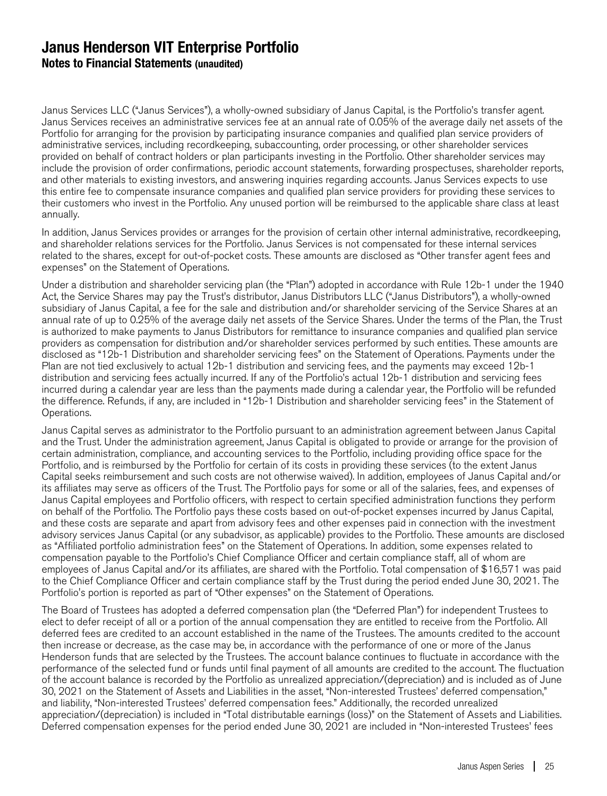## **Janus Henderson VIT Enterprise Portfolio Notes to Financial Statements (unaudited)**

Janus Services LLC ("Janus Services"), a wholly-owned subsidiary of Janus Capital, is the Portfolio's transfer agent. Janus Services receives an administrative services fee at an annual rate of 0.05% of the average daily net assets of the Portfolio for arranging for the provision by participating insurance companies and qualified plan service providers of administrative services, including recordkeeping, subaccounting, order processing, or other shareholder services provided on behalf of contract holders or plan participants investing in the Portfolio. Other shareholder services may include the provision of order confirmations, periodic account statements, forwarding prospectuses, shareholder reports, and other materials to existing investors, and answering inquiries regarding accounts. Janus Services expects to use this entire fee to compensate insurance companies and qualified plan service providers for providing these services to their customers who invest in the Portfolio. Any unused portion will be reimbursed to the applicable share class at least annually.

In addition, Janus Services provides or arranges for the provision of certain other internal administrative, recordkeeping, and shareholder relations services for the Portfolio. Janus Services is not compensated for these internal services related to the shares, except for out-of-pocket costs. These amounts are disclosed as "Other transfer agent fees and expenses" on the Statement of Operations.

Under a distribution and shareholder servicing plan (the "Plan") adopted in accordance with Rule 12b-1 under the 1940 Act, the Service Shares may pay the Trust's distributor, Janus Distributors LLC ("Janus Distributors"), a wholly-owned subsidiary of Janus Capital, a fee for the sale and distribution and/or shareholder servicing of the Service Shares at an annual rate of up to 0.25% of the average daily net assets of the Service Shares. Under the terms of the Plan, the Trust is authorized to make payments to Janus Distributors for remittance to insurance companies and qualified plan service providers as compensation for distribution and/or shareholder services performed by such entities. These amounts are disclosed as "12b-1 Distribution and shareholder servicing fees" on the Statement of Operations. Payments under the Plan are not tied exclusively to actual 12b-1 distribution and servicing fees, and the payments may exceed 12b-1 distribution and servicing fees actually incurred. If any of the Portfolio's actual 12b-1 distribution and servicing fees incurred during a calendar year are less than the payments made during a calendar year, the Portfolio will be refunded the difference. Refunds, if any, are included in "12b-1 Distribution and shareholder servicing fees" in the Statement of Operations.

Janus Capital serves as administrator to the Portfolio pursuant to an administration agreement between Janus Capital and the Trust. Under the administration agreement, Janus Capital is obligated to provide or arrange for the provision of certain administration, compliance, and accounting services to the Portfolio, including providing office space for the Portfolio, and is reimbursed by the Portfolio for certain of its costs in providing these services (to the extent Janus Capital seeks reimbursement and such costs are not otherwise waived). In addition, employees of Janus Capital and/or its affiliates may serve as officers of the Trust. The Portfolio pays for some or all of the salaries, fees, and expenses of Janus Capital employees and Portfolio officers, with respect to certain specified administration functions they perform on behalf of the Portfolio. The Portfolio pays these costs based on out-of-pocket expenses incurred by Janus Capital, and these costs are separate and apart from advisory fees and other expenses paid in connection with the investment advisory services Janus Capital (or any subadvisor, as applicable) provides to the Portfolio. These amounts are disclosed as "Affiliated portfolio administration fees" on the Statement of Operations. In addition, some expenses related to compensation payable to the Portfolio's Chief Compliance Officer and certain compliance staff, all of whom are employees of Janus Capital and/or its affiliates, are shared with the Portfolio. Total compensation of \$16,571 was paid to the Chief Compliance Officer and certain compliance staff by the Trust during the period ended June 30, 2021. The Portfolio's portion is reported as part of "Other expenses" on the Statement of Operations.

The Board of Trustees has adopted a deferred compensation plan (the "Deferred Plan") for independent Trustees to elect to defer receipt of all or a portion of the annual compensation they are entitled to receive from the Portfolio. All deferred fees are credited to an account established in the name of the Trustees. The amounts credited to the account then increase or decrease, as the case may be, in accordance with the performance of one or more of the Janus Henderson funds that are selected by the Trustees. The account balance continues to fluctuate in accordance with the performance of the selected fund or funds until final payment of all amounts are credited to the account. The fluctuation of the account balance is recorded by the Portfolio as unrealized appreciation/(depreciation) and is included as of June 30, 2021 on the Statement of Assets and Liabilities in the asset, "Non-interested Trustees' deferred compensation," and liability, "Non-interested Trustees' deferred compensation fees." Additionally, the recorded unrealized appreciation/(depreciation) is included in "Total distributable earnings (loss)" on the Statement of Assets and Liabilities. Deferred compensation expenses for the period ended June 30, 2021 are included in "Non-interested Trustees' fees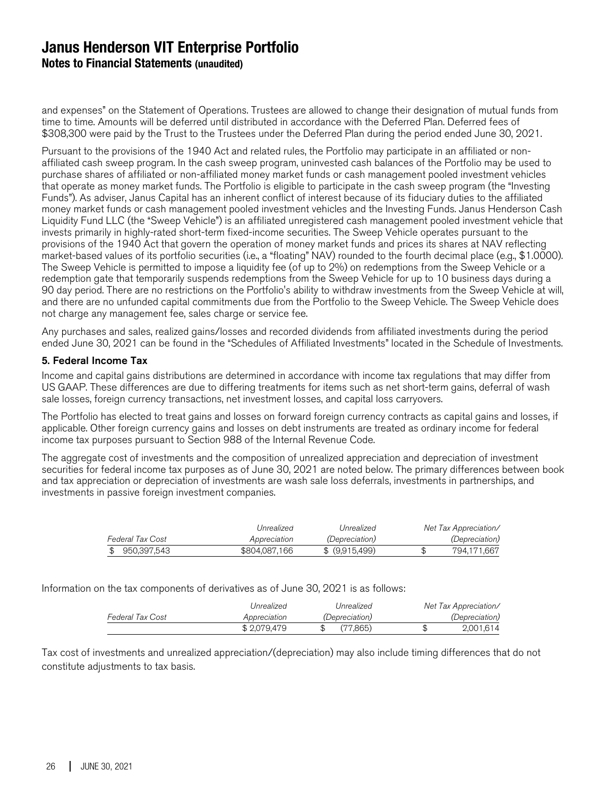**Notes to Financial Statements (unaudited)**

and expenses" on the Statement of Operations. Trustees are allowed to change their designation of mutual funds from time to time. Amounts will be deferred until distributed in accordance with the Deferred Plan. Deferred fees of \$308,300 were paid by the Trust to the Trustees under the Deferred Plan during the period ended June 30, 2021.

Pursuant to the provisions of the 1940 Act and related rules, the Portfolio may participate in an affiliated or nonaffiliated cash sweep program. In the cash sweep program, uninvested cash balances of the Portfolio may be used to purchase shares of affiliated or non-affiliated money market funds or cash management pooled investment vehicles that operate as money market funds. The Portfolio is eligible to participate in the cash sweep program (the "Investing Funds"). As adviser, Janus Capital has an inherent conflict of interest because of its fiduciary duties to the affiliated money market funds or cash management pooled investment vehicles and the Investing Funds. Janus Henderson Cash Liquidity Fund LLC (the "Sweep Vehicle") is an affiliated unregistered cash management pooled investment vehicle that invests primarily in highly-rated short-term fixed-income securities. The Sweep Vehicle operates pursuant to the provisions of the 1940 Act that govern the operation of money market funds and prices its shares at NAV reflecting market-based values of its portfolio securities (i.e., a "floating" NAV) rounded to the fourth decimal place (e.g., \$1.0000). The Sweep Vehicle is permitted to impose a liquidity fee (of up to 2%) on redemptions from the Sweep Vehicle or a redemption gate that temporarily suspends redemptions from the Sweep Vehicle for up to 10 business days during a 90 day period. There are no restrictions on the Portfolio's ability to withdraw investments from the Sweep Vehicle at will, and there are no unfunded capital commitments due from the Portfolio to the Sweep Vehicle. The Sweep Vehicle does not charge any management fee, sales charge or service fee.

Any purchases and sales, realized gains/losses and recorded dividends from affiliated investments during the period ended June 30, 2021 can be found in the "Schedules of Affiliated Investments" located in the Schedule of Investments.

#### 5. Federal Income Tax

Income and capital gains distributions are determined in accordance with income tax regulations that may differ from US GAAP. These differences are due to differing treatments for items such as net short-term gains, deferral of wash sale losses, foreign currency transactions, net investment losses, and capital loss carryovers.

The Portfolio has elected to treat gains and losses on forward foreign currency contracts as capital gains and losses, if applicable. Other foreign currency gains and losses on debt instruments are treated as ordinary income for federal income tax purposes pursuant to Section 988 of the Internal Revenue Code.

The aggregate cost of investments and the composition of unrealized appreciation and depreciation of investment securities for federal income tax purposes as of June 30, 2021 are noted below. The primary differences between book and tax appreciation or depreciation of investments are wash sale loss deferrals, investments in partnerships, and investments in passive foreign investment companies.

|                  | Unrealized    | Unrealized            | Net Tax Appreciation/ |
|------------------|---------------|-----------------------|-----------------------|
| Federal Tax Cost | Appreciation  | <i>(Depreciation)</i> | <i>(Depreciation)</i> |
| 950.397.543      | \$804,087,166 | \$ (9,915,499)        | 794.171.667           |

Information on the tax components of derivatives as of June 30, 2021 is as follows:

|                  | Unrealized   | Unrealized            | Net Tax Appreciation/ |
|------------------|--------------|-----------------------|-----------------------|
| Federal Tax Cost | Appreciation | <i>(Depreciation)</i> | <i>(Depreciation)</i> |
|                  | \$2.079.479  | (77.865)              | 2.001.614             |

Tax cost of investments and unrealized appreciation/(depreciation) may also include timing differences that do not constitute adjustments to tax basis.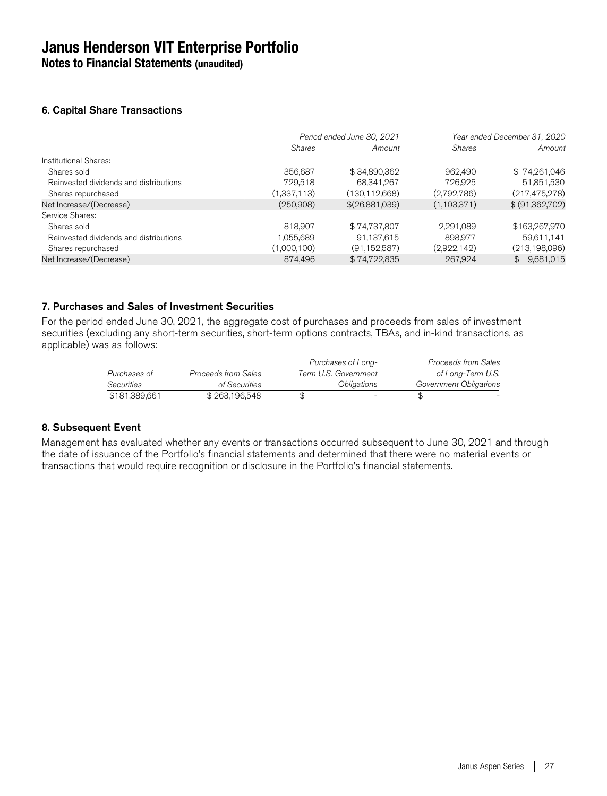**Notes to Financial Statements (unaudited)**

#### 6. Capital Share Transactions

|                                        | Period ended June 30, 2021 |                 | Year ended December 31, 2020 |                 |
|----------------------------------------|----------------------------|-----------------|------------------------------|-----------------|
|                                        | <b>Shares</b>              | Amount          | <b>Shares</b>                | Amount          |
| Institutional Shares:                  |                            |                 |                              |                 |
| Shares sold                            | 356,687                    | \$34,890,362    | 962,490                      | \$74,261,046    |
| Reinvested dividends and distributions | 729,518                    | 68,341,267      | 726,925                      | 51,851,530      |
| Shares repurchased                     | (1,337,113)                | (130, 112, 668) | (2,792,786)                  | (217, 475, 278) |
| Net Increase/(Decrease)                | (250,908)                  | \$(26,881,039)  | (1,103,371)                  | \$ (91,362,702) |
| Service Shares:                        |                            |                 |                              |                 |
| Shares sold                            | 818,907                    | \$74,737,807    | 2,291,089                    | \$163,267,970   |
| Reinvested dividends and distributions | 1,055,689                  | 91,137,615      | 898.977                      | 59,611,141      |
| Shares repurchased                     | (1,000,100)                | (91, 152, 587)  | (2,922,142)                  | (213, 198, 096) |
| Net Increase/(Decrease)                | 874.496                    | \$74,722,835    | 267,924                      | \$9,681,015     |

#### 7. Purchases and Sales of Investment Securities

For the period ended June 30, 2021, the aggregate cost of purchases and proceeds from sales of investment securities (excluding any short-term securities, short-term options contracts, TBAs, and in-kind transactions, as applicable) was as follows:

|               |                     | Purchases of Long-       |                        | Proceeds from Sales |
|---------------|---------------------|--------------------------|------------------------|---------------------|
| Purchases of  | Proceeds from Sales | Term U.S. Government     |                        | of Long-Term U.S.   |
| Securities    | of Securities       | Obligations              | Government Obligations |                     |
| \$181,389,661 | \$263,196,548       | $\overline{\phantom{0}}$ |                        |                     |

#### 8. Subsequent Event

Management has evaluated whether any events or transactions occurred subsequent to June 30, 2021 and through the date of issuance of the Portfolio's financial statements and determined that there were no material events or transactions that would require recognition or disclosure in the Portfolio's financial statements.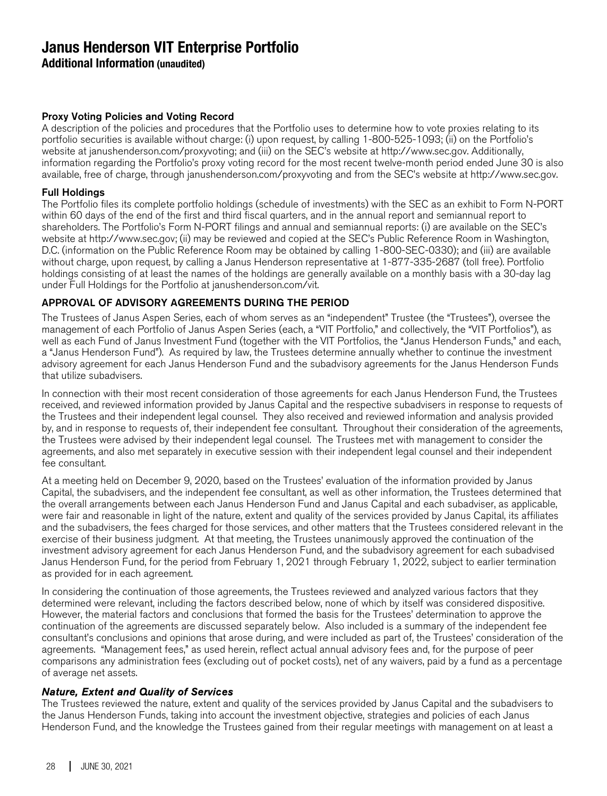**Additional Information (unaudited)**

#### Proxy Voting Policies and Voting Record

A description of the policies and procedures that the Portfolio uses to determine how to vote proxies relating to its portfolio securities is available without charge: (i) upon request, by calling 1-800-525-1093; (ii) on the Portfolio's website at janushenderson.com/proxyvoting; and (iii) on the SEC's website at http://www.sec.gov. Additionally, information regarding the Portfolio's proxy voting record for the most recent twelve-month period ended June 30 is also available, free of charge, through janushenderson.com/proxyvoting and from the SEC's website at http://www.sec.gov.

#### Full Holdings

The Portfolio files its complete portfolio holdings (schedule of investments) with the SEC as an exhibit to Form N-PORT within 60 days of the end of the first and third fiscal quarters, and in the annual report and semiannual report to shareholders. The Portfolio's Form N-PORT filings and annual and semiannual reports: (i) are available on the SEC's website at http://www.sec.gov; (ii) may be reviewed and copied at the SEC's Public Reference Room in Washington, D.C. (information on the Public Reference Room may be obtained by calling 1-800-SEC-0330); and (iii) are available without charge, upon request, by calling a Janus Henderson representative at 1-877-335-2687 (toll free). Portfolio holdings consisting of at least the names of the holdings are generally available on a monthly basis with a 30-day lag under Full Holdings for the Portfolio at janushenderson.com/vit.

#### APPROVAL OF ADVISORY AGREEMENTS DURING THE PERIOD

The Trustees of Janus Aspen Series, each of whom serves as an "independent" Trustee (the "Trustees"), oversee the management of each Portfolio of Janus Aspen Series (each, a "VIT Portfolio," and collectively, the "VIT Portfolios"), as well as each Fund of Janus Investment Fund (together with the VIT Portfolios, the "Janus Henderson Funds," and each, a "Janus Henderson Fund"). As required by law, the Trustees determine annually whether to continue the investment advisory agreement for each Janus Henderson Fund and the subadvisory agreements for the Janus Henderson Funds that utilize subadvisers.

In connection with their most recent consideration of those agreements for each Janus Henderson Fund, the Trustees received, and reviewed information provided by Janus Capital and the respective subadvisers in response to requests of the Trustees and their independent legal counsel. They also received and reviewed information and analysis provided by, and in response to requests of, their independent fee consultant. Throughout their consideration of the agreements, the Trustees were advised by their independent legal counsel. The Trustees met with management to consider the agreements, and also met separately in executive session with their independent legal counsel and their independent fee consultant.

At a meeting held on December 9, 2020, based on the Trustees' evaluation of the information provided by Janus Capital, the subadvisers, and the independent fee consultant, as well as other information, the Trustees determined that the overall arrangements between each Janus Henderson Fund and Janus Capital and each subadviser, as applicable, were fair and reasonable in light of the nature, extent and quality of the services provided by Janus Capital, its affiliates and the subadvisers, the fees charged for those services, and other matters that the Trustees considered relevant in the exercise of their business judgment. At that meeting, the Trustees unanimously approved the continuation of the investment advisory agreement for each Janus Henderson Fund, and the subadvisory agreement for each subadvised Janus Henderson Fund, for the period from February 1, 2021 through February 1, 2022, subject to earlier termination as provided for in each agreement.

In considering the continuation of those agreements, the Trustees reviewed and analyzed various factors that they determined were relevant, including the factors described below, none of which by itself was considered dispositive. However, the material factors and conclusions that formed the basis for the Trustees' determination to approve the continuation of the agreements are discussed separately below. Also included is a summary of the independent fee consultant's conclusions and opinions that arose during, and were included as part of, the Trustees' consideration of the agreements. "Management fees," as used herein, reflect actual annual advisory fees and, for the purpose of peer comparisons any administration fees (excluding out of pocket costs), net of any waivers, paid by a fund as a percentage of average net assets.

#### Nature, Extent and Quality of Services

The Trustees reviewed the nature, extent and quality of the services provided by Janus Capital and the subadvisers to the Janus Henderson Funds, taking into account the investment objective, strategies and policies of each Janus Henderson Fund, and the knowledge the Trustees gained from their regular meetings with management on at least a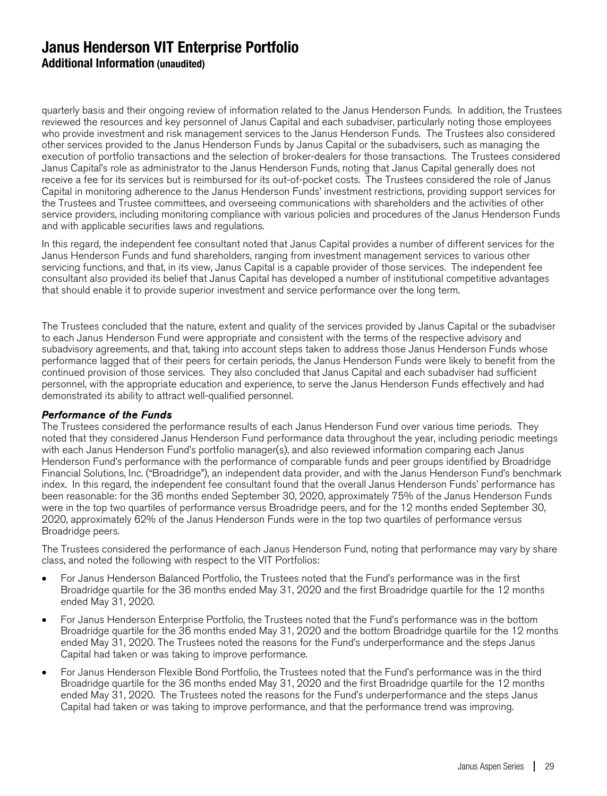quarterly basis and their ongoing review of information related to the Janus Henderson Funds. In addition, the Trustees reviewed the resources and key personnel of Janus Capital and each subadviser, particularly noting those employees who provide investment and risk management services to the Janus Henderson Funds. The Trustees also considered other services provided to the Janus Henderson Funds by Janus Capital or the subadvisers, such as managing the execution of portfolio transactions and the selection of broker-dealers for those transactions. The Trustees considered Janus Capital's role as administrator to the Janus Henderson Funds, noting that Janus Capital generally does not receive a fee for its services but is reimbursed for its out-of-pocket costs. The Trustees considered the role of Janus Capital in monitoring adherence to the Janus Henderson Funds' investment restrictions, providing support services for the Trustees and Trustee committees, and overseeing communications with shareholders and the activities of other service providers, including monitoring compliance with various policies and procedures of the Janus Henderson Funds and with applicable securities laws and regulations.

In this regard, the independent fee consultant noted that Janus Capital provides a number of different services for the Janus Henderson Funds and fund shareholders, ranging from investment management services to various other servicing functions, and that, in its view, Janus Capital is a capable provider of those services. The independent fee consultant also provided its belief that Janus Capital has developed a number of institutional competitive advantages that should enable it to provide superior investment and service performance over the long term.

The Trustees concluded that the nature, extent and quality of the services provided by Janus Capital or the subadviser to each Janus Henderson Fund were appropriate and consistent with the terms of the respective advisory and subadvisory agreements, and that, taking into account steps taken to address those Janus Henderson Funds whose performance lagged that of their peers for certain periods, the Janus Henderson Funds were likely to benefit from the continued provision of those services. They also concluded that Janus Capital and each subadviser had sufficient personnel, with the appropriate education and experience, to serve the Janus Henderson Funds effectively and had demonstrated its ability to attract well-qualified personnel.

#### Performance of the Funds

The Trustees considered the performance results of each Janus Henderson Fund over various time periods. They noted that they considered Janus Henderson Fund performance data throughout the year, including periodic meetings with each Janus Henderson Fund's portfolio manager(s), and also reviewed information comparing each Janus Henderson Fund's performance with the performance of comparable funds and peer groups identified by Broadridge Financial Solutions, Inc. ("Broadridge"), an independent data provider, and with the Janus Henderson Fund's benchmark index. In this regard, the independent fee consultant found that the overall Janus Henderson Funds' performance has been reasonable: for the 36 months ended September 30, 2020, approximately 75% of the Janus Henderson Funds were in the top two quartiles of performance versus Broadridge peers, and for the 12 months ended September 30, 2020, approximately 62% of the Janus Henderson Funds were in the top two quartiles of performance versus Broadridge peers.

The Trustees considered the performance of each Janus Henderson Fund, noting that performance may vary by share class, and noted the following with respect to the VIT Portfolios:

- For Janus Henderson Balanced Portfolio, the Trustees noted that the Fund's performance was in the first Broadridge quartile for the 36 months ended May 31, 2020 and the first Broadridge quartile for the 12 months ended May 31, 2020.
- For Janus Henderson Enterprise Portfolio, the Trustees noted that the Fund's performance was in the bottom Broadridge quartile for the 36 months ended May 31, 2020 and the bottom Broadridge quartile for the 12 months ended May 31, 2020. The Trustees noted the reasons for the Fund's underperformance and the steps Janus Capital had taken or was taking to improve performance.
- For Janus Henderson Flexible Bond Portfolio, the Trustees noted that the Fund's performance was in the third Broadridge quartile for the 36 months ended May 31, 2020 and the first Broadridge quartile for the 12 months ended May 31, 2020. The Trustees noted the reasons for the Fund's underperformance and the steps Janus Capital had taken or was taking to improve performance, and that the performance trend was improving.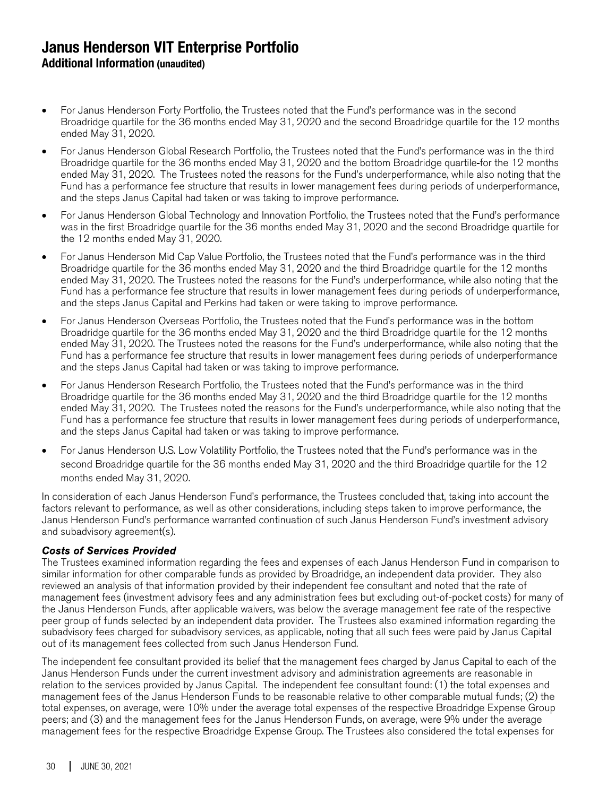- For Janus Henderson Forty Portfolio, the Trustees noted that the Fund's performance was in the second Broadridge quartile for the 36 months ended May 31, 2020 and the second Broadridge quartile for the 12 months ended May 31, 2020.
- For Janus Henderson Global Research Portfolio, the Trustees noted that the Fund's performance was in the third Broadridge quartile for the 36 months ended May 31, 2020 and the bottom Broadridge quartile for the 12 months ended May 31, 2020. The Trustees noted the reasons for the Fund's underperformance, while also noting that the Fund has a performance fee structure that results in lower management fees during periods of underperformance, and the steps Janus Capital had taken or was taking to improve performance.
- For Janus Henderson Global Technology and Innovation Portfolio, the Trustees noted that the Fund's performance was in the first Broadridge quartile for the 36 months ended May 31, 2020 and the second Broadridge quartile for the 12 months ended May 31, 2020.
- For Janus Henderson Mid Cap Value Portfolio, the Trustees noted that the Fund's performance was in the third Broadridge quartile for the 36 months ended May 31, 2020 and the third Broadridge quartile for the 12 months ended May 31, 2020. The Trustees noted the reasons for the Fund's underperformance, while also noting that the Fund has a performance fee structure that results in lower management fees during periods of underperformance, and the steps Janus Capital and Perkins had taken or were taking to improve performance.
- For Janus Henderson Overseas Portfolio, the Trustees noted that the Fund's performance was in the bottom Broadridge quartile for the 36 months ended May 31, 2020 and the third Broadridge quartile for the 12 months ended May 31, 2020. The Trustees noted the reasons for the Fund's underperformance, while also noting that the Fund has a performance fee structure that results in lower management fees during periods of underperformance and the steps Janus Capital had taken or was taking to improve performance.
- For Janus Henderson Research Portfolio, the Trustees noted that the Fund's performance was in the third Broadridge quartile for the 36 months ended May 31, 2020 and the third Broadridge quartile for the 12 months ended May 31, 2020. The Trustees noted the reasons for the Fund's underperformance, while also noting that the Fund has a performance fee structure that results in lower management fees during periods of underperformance, and the steps Janus Capital had taken or was taking to improve performance.
- For Janus Henderson U.S. Low Volatility Portfolio, the Trustees noted that the Fund's performance was in the second Broadridge quartile for the 36 months ended May 31, 2020 and the third Broadridge quartile for the 12 months ended May 31, 2020.

In consideration of each Janus Henderson Fund's performance, the Trustees concluded that, taking into account the factors relevant to performance, as well as other considerations, including steps taken to improve performance, the Janus Henderson Fund's performance warranted continuation of such Janus Henderson Fund's investment advisory and subadvisory agreement(s).

#### Costs of Services Provided

The Trustees examined information regarding the fees and expenses of each Janus Henderson Fund in comparison to similar information for other comparable funds as provided by Broadridge, an independent data provider. They also reviewed an analysis of that information provided by their independent fee consultant and noted that the rate of management fees (investment advisory fees and any administration fees but excluding out-of-pocket costs) for many of the Janus Henderson Funds, after applicable waivers, was below the average management fee rate of the respective peer group of funds selected by an independent data provider. The Trustees also examined information regarding the subadvisory fees charged for subadvisory services, as applicable, noting that all such fees were paid by Janus Capital out of its management fees collected from such Janus Henderson Fund.

The independent fee consultant provided its belief that the management fees charged by Janus Capital to each of the Janus Henderson Funds under the current investment advisory and administration agreements are reasonable in relation to the services provided by Janus Capital. The independent fee consultant found: (1) the total expenses and management fees of the Janus Henderson Funds to be reasonable relative to other comparable mutual funds; (2) the total expenses, on average, were 10% under the average total expenses of the respective Broadridge Expense Group peers; and (3) and the management fees for the Janus Henderson Funds, on average, were 9% under the average management fees for the respective Broadridge Expense Group. The Trustees also considered the total expenses for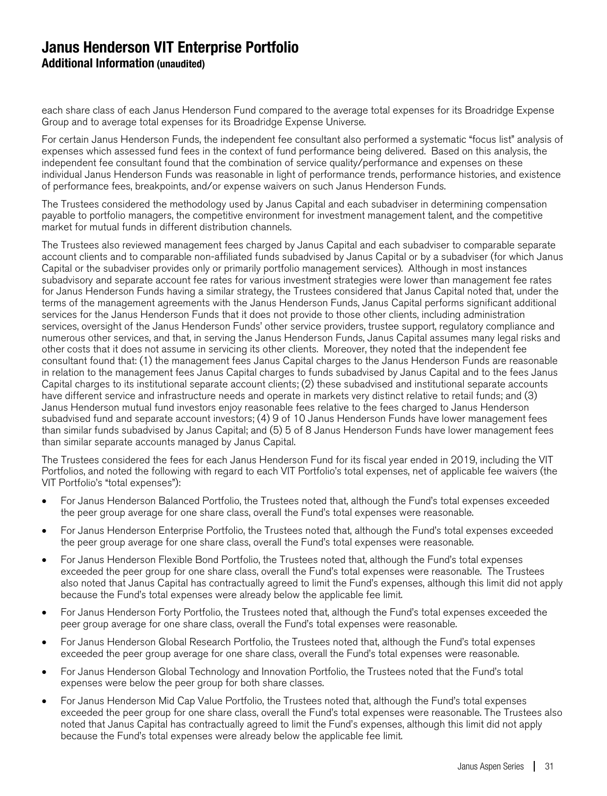each share class of each Janus Henderson Fund compared to the average total expenses for its Broadridge Expense Group and to average total expenses for its Broadridge Expense Universe.

For certain Janus Henderson Funds, the independent fee consultant also performed a systematic "focus list" analysis of expenses which assessed fund fees in the context of fund performance being delivered. Based on this analysis, the independent fee consultant found that the combination of service quality/performance and expenses on these individual Janus Henderson Funds was reasonable in light of performance trends, performance histories, and existence of performance fees, breakpoints, and/or expense waivers on such Janus Henderson Funds.

The Trustees considered the methodology used by Janus Capital and each subadviser in determining compensation payable to portfolio managers, the competitive environment for investment management talent, and the competitive market for mutual funds in different distribution channels.

The Trustees also reviewed management fees charged by Janus Capital and each subadviser to comparable separate account clients and to comparable non-affiliated funds subadvised by Janus Capital or by a subadviser (for which Janus Capital or the subadviser provides only or primarily portfolio management services). Although in most instances subadvisory and separate account fee rates for various investment strategies were lower than management fee rates for Janus Henderson Funds having a similar strategy, the Trustees considered that Janus Capital noted that, under the terms of the management agreements with the Janus Henderson Funds, Janus Capital performs significant additional services for the Janus Henderson Funds that it does not provide to those other clients, including administration services, oversight of the Janus Henderson Funds' other service providers, trustee support, regulatory compliance and numerous other services, and that, in serving the Janus Henderson Funds, Janus Capital assumes many legal risks and other costs that it does not assume in servicing its other clients. Moreover, they noted that the independent fee consultant found that: (1) the management fees Janus Capital charges to the Janus Henderson Funds are reasonable in relation to the management fees Janus Capital charges to funds subadvised by Janus Capital and to the fees Janus Capital charges to its institutional separate account clients; (2) these subadvised and institutional separate accounts have different service and infrastructure needs and operate in markets very distinct relative to retail funds; and (3) Janus Henderson mutual fund investors enjoy reasonable fees relative to the fees charged to Janus Henderson subadvised fund and separate account investors; (4) 9 of 10 Janus Henderson Funds have lower management fees than similar funds subadvised by Janus Capital; and (5) 5 of 8 Janus Henderson Funds have lower management fees than similar separate accounts managed by Janus Capital.

The Trustees considered the fees for each Janus Henderson Fund for its fiscal year ended in 2019, including the VIT Portfolios, and noted the following with regard to each VIT Portfolio's total expenses, net of applicable fee waivers (the VIT Portfolio's "total expenses"):

- For Janus Henderson Balanced Portfolio, the Trustees noted that, although the Fund's total expenses exceeded the peer group average for one share class, overall the Fund's total expenses were reasonable.
- For Janus Henderson Enterprise Portfolio, the Trustees noted that, although the Fund's total expenses exceeded the peer group average for one share class, overall the Fund's total expenses were reasonable.
- For Janus Henderson Flexible Bond Portfolio, the Trustees noted that, although the Fund's total expenses exceeded the peer group for one share class, overall the Fund's total expenses were reasonable. The Trustees also noted that Janus Capital has contractually agreed to limit the Fund's expenses, although this limit did not apply because the Fund's total expenses were already below the applicable fee limit.
- For Janus Henderson Forty Portfolio, the Trustees noted that, although the Fund's total expenses exceeded the peer group average for one share class, overall the Fund's total expenses were reasonable.
- For Janus Henderson Global Research Portfolio, the Trustees noted that, although the Fund's total expenses exceeded the peer group average for one share class, overall the Fund's total expenses were reasonable.
- For Janus Henderson Global Technology and Innovation Portfolio, the Trustees noted that the Fund's total expenses were below the peer group for both share classes.
- For Janus Henderson Mid Cap Value Portfolio, the Trustees noted that, although the Fund's total expenses exceeded the peer group for one share class, overall the Fund's total expenses were reasonable. The Trustees also noted that Janus Capital has contractually agreed to limit the Fund's expenses, although this limit did not apply because the Fund's total expenses were already below the applicable fee limit.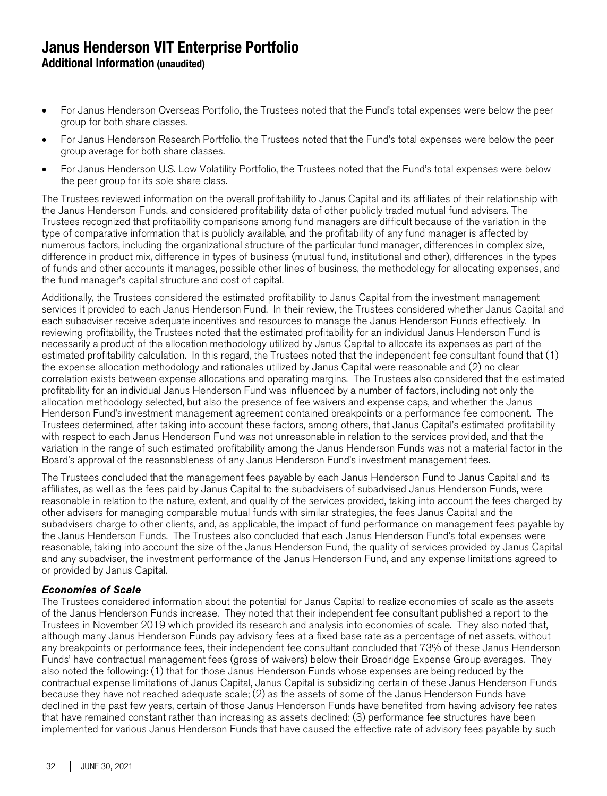- For Janus Henderson Overseas Portfolio, the Trustees noted that the Fund's total expenses were below the peer group for both share classes.
- For Janus Henderson Research Portfolio, the Trustees noted that the Fund's total expenses were below the peer group average for both share classes.
- For Janus Henderson U.S. Low Volatility Portfolio, the Trustees noted that the Fund's total expenses were below the peer group for its sole share class.

The Trustees reviewed information on the overall profitability to Janus Capital and its affiliates of their relationship with the Janus Henderson Funds, and considered profitability data of other publicly traded mutual fund advisers. The Trustees recognized that profitability comparisons among fund managers are difficult because of the variation in the type of comparative information that is publicly available, and the profitability of any fund manager is affected by numerous factors, including the organizational structure of the particular fund manager, differences in complex size, difference in product mix, difference in types of business (mutual fund, institutional and other), differences in the types of funds and other accounts it manages, possible other lines of business, the methodology for allocating expenses, and the fund manager's capital structure and cost of capital.

Additionally, the Trustees considered the estimated profitability to Janus Capital from the investment management services it provided to each Janus Henderson Fund. In their review, the Trustees considered whether Janus Capital and each subadviser receive adequate incentives and resources to manage the Janus Henderson Funds effectively. In reviewing profitability, the Trustees noted that the estimated profitability for an individual Janus Henderson Fund is necessarily a product of the allocation methodology utilized by Janus Capital to allocate its expenses as part of the estimated profitability calculation. In this regard, the Trustees noted that the independent fee consultant found that (1) the expense allocation methodology and rationales utilized by Janus Capital were reasonable and (2) no clear correlation exists between expense allocations and operating margins. The Trustees also considered that the estimated profitability for an individual Janus Henderson Fund was influenced by a number of factors, including not only the allocation methodology selected, but also the presence of fee waivers and expense caps, and whether the Janus Henderson Fund's investment management agreement contained breakpoints or a performance fee component. The Trustees determined, after taking into account these factors, among others, that Janus Capital's estimated profitability with respect to each Janus Henderson Fund was not unreasonable in relation to the services provided, and that the variation in the range of such estimated profitability among the Janus Henderson Funds was not a material factor in the Board's approval of the reasonableness of any Janus Henderson Fund's investment management fees.

The Trustees concluded that the management fees payable by each Janus Henderson Fund to Janus Capital and its affiliates, as well as the fees paid by Janus Capital to the subadvisers of subadvised Janus Henderson Funds, were reasonable in relation to the nature, extent, and quality of the services provided, taking into account the fees charged by other advisers for managing comparable mutual funds with similar strategies, the fees Janus Capital and the subadvisers charge to other clients, and, as applicable, the impact of fund performance on management fees payable by the Janus Henderson Funds. The Trustees also concluded that each Janus Henderson Fund's total expenses were reasonable, taking into account the size of the Janus Henderson Fund, the quality of services provided by Janus Capital and any subadviser, the investment performance of the Janus Henderson Fund, and any expense limitations agreed to or provided by Janus Capital.

#### Economies of Scale

The Trustees considered information about the potential for Janus Capital to realize economies of scale as the assets of the Janus Henderson Funds increase. They noted that their independent fee consultant published a report to the Trustees in November 2019 which provided its research and analysis into economies of scale. They also noted that, although many Janus Henderson Funds pay advisory fees at a fixed base rate as a percentage of net assets, without any breakpoints or performance fees, their independent fee consultant concluded that 73% of these Janus Henderson Funds' have contractual management fees (gross of waivers) below their Broadridge Expense Group averages. They also noted the following: (1) that for those Janus Henderson Funds whose expenses are being reduced by the contractual expense limitations of Janus Capital, Janus Capital is subsidizing certain of these Janus Henderson Funds because they have not reached adequate scale; (2) as the assets of some of the Janus Henderson Funds have declined in the past few years, certain of those Janus Henderson Funds have benefited from having advisory fee rates that have remained constant rather than increasing as assets declined; (3) performance fee structures have been implemented for various Janus Henderson Funds that have caused the effective rate of advisory fees payable by such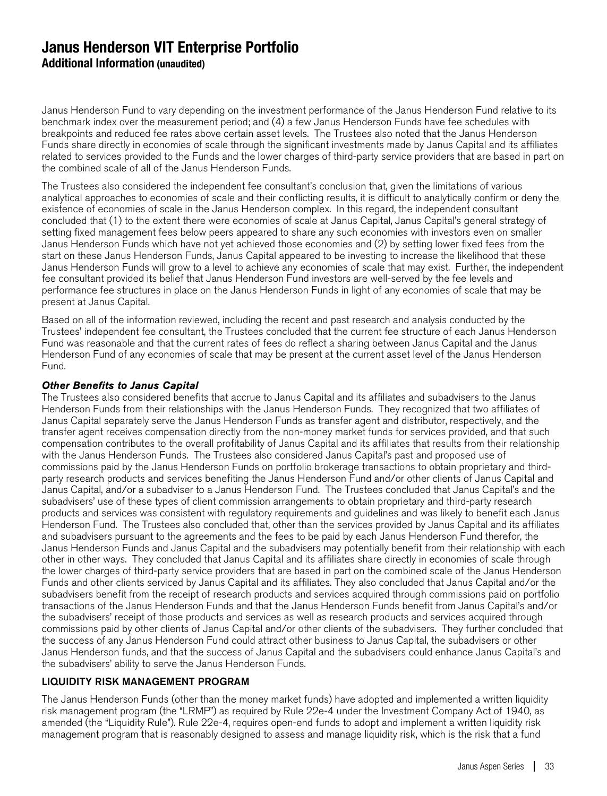Janus Henderson Fund to vary depending on the investment performance of the Janus Henderson Fund relative to its benchmark index over the measurement period; and (4) a few Janus Henderson Funds have fee schedules with breakpoints and reduced fee rates above certain asset levels. The Trustees also noted that the Janus Henderson Funds share directly in economies of scale through the significant investments made by Janus Capital and its affiliates related to services provided to the Funds and the lower charges of third-party service providers that are based in part on the combined scale of all of the Janus Henderson Funds.

The Trustees also considered the independent fee consultant's conclusion that, given the limitations of various analytical approaches to economies of scale and their conflicting results, it is difficult to analytically confirm or deny the existence of economies of scale in the Janus Henderson complex. In this regard, the independent consultant concluded that (1) to the extent there were economies of scale at Janus Capital, Janus Capital's general strategy of setting fixed management fees below peers appeared to share any such economies with investors even on smaller Janus Henderson Funds which have not yet achieved those economies and (2) by setting lower fixed fees from the start on these Janus Henderson Funds, Janus Capital appeared to be investing to increase the likelihood that these Janus Henderson Funds will grow to a level to achieve any economies of scale that may exist. Further, the independent fee consultant provided its belief that Janus Henderson Fund investors are well-served by the fee levels and performance fee structures in place on the Janus Henderson Funds in light of any economies of scale that may be present at Janus Capital.

Based on all of the information reviewed, including the recent and past research and analysis conducted by the Trustees' independent fee consultant, the Trustees concluded that the current fee structure of each Janus Henderson Fund was reasonable and that the current rates of fees do reflect a sharing between Janus Capital and the Janus Henderson Fund of any economies of scale that may be present at the current asset level of the Janus Henderson Fund.

#### Other Benefits to Janus Capital

The Trustees also considered benefits that accrue to Janus Capital and its affiliates and subadvisers to the Janus Henderson Funds from their relationships with the Janus Henderson Funds. They recognized that two affiliates of Janus Capital separately serve the Janus Henderson Funds as transfer agent and distributor, respectively, and the transfer agent receives compensation directly from the non-money market funds for services provided, and that such compensation contributes to the overall profitability of Janus Capital and its affiliates that results from their relationship with the Janus Henderson Funds. The Trustees also considered Janus Capital's past and proposed use of commissions paid by the Janus Henderson Funds on portfolio brokerage transactions to obtain proprietary and thirdparty research products and services benefiting the Janus Henderson Fund and/or other clients of Janus Capital and Janus Capital, and/or a subadviser to a Janus Henderson Fund. The Trustees concluded that Janus Capital's and the subadvisers' use of these types of client commission arrangements to obtain proprietary and third-party research products and services was consistent with regulatory requirements and guidelines and was likely to benefit each Janus Henderson Fund. The Trustees also concluded that, other than the services provided by Janus Capital and its affiliates and subadvisers pursuant to the agreements and the fees to be paid by each Janus Henderson Fund therefor, the Janus Henderson Funds and Janus Capital and the subadvisers may potentially benefit from their relationship with each other in other ways. They concluded that Janus Capital and its affiliates share directly in economies of scale through the lower charges of third-party service providers that are based in part on the combined scale of the Janus Henderson Funds and other clients serviced by Janus Capital and its affiliates. They also concluded that Janus Capital and/or the subadvisers benefit from the receipt of research products and services acquired through commissions paid on portfolio transactions of the Janus Henderson Funds and that the Janus Henderson Funds benefit from Janus Capital's and/or the subadvisers' receipt of those products and services as well as research products and services acquired through commissions paid by other clients of Janus Capital and/or other clients of the subadvisers. They further concluded that the success of any Janus Henderson Fund could attract other business to Janus Capital, the subadvisers or other Janus Henderson funds, and that the success of Janus Capital and the subadvisers could enhance Janus Capital's and the subadvisers' ability to serve the Janus Henderson Funds.

#### LIQUIDITY RISK MANAGEMENT PROGRAM

The Janus Henderson Funds (other than the money market funds) have adopted and implemented a written liquidity risk management program (the "LRMP") as required by Rule 22e-4 under the Investment Company Act of 1940, as amended (the "Liquidity Rule"). Rule 22e-4, requires open-end funds to adopt and implement a written liquidity risk management program that is reasonably designed to assess and manage liquidity risk, which is the risk that a fund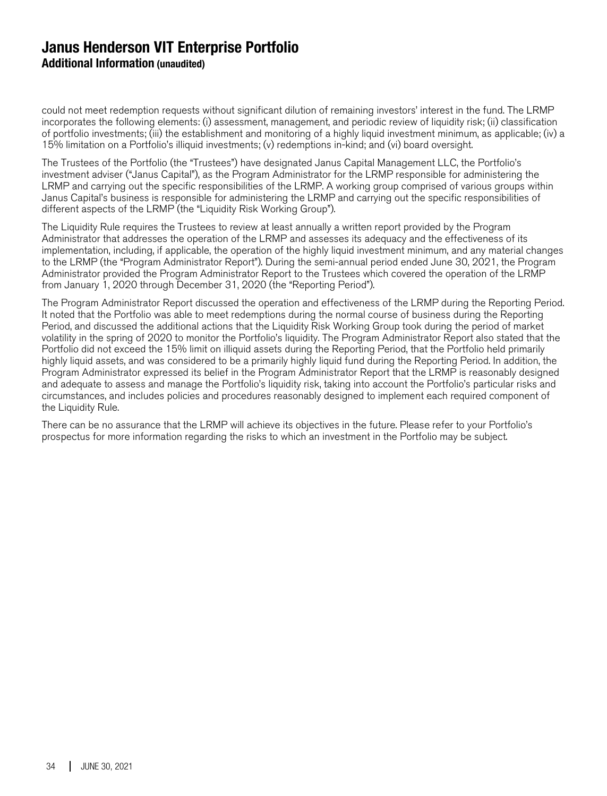could not meet redemption requests without significant dilution of remaining investors' interest in the fund. The LRMP incorporates the following elements: (i) assessment, management, and periodic review of liquidity risk; (ii) classification of portfolio investments; (iii) the establishment and monitoring of a highly liquid investment minimum, as applicable; (iv) a 15% limitation on a Portfolio's illiquid investments; (v) redemptions in-kind; and (vi) board oversight.

The Trustees of the Portfolio (the "Trustees") have designated Janus Capital Management LLC, the Portfolio's investment adviser ("Janus Capital"), as the Program Administrator for the LRMP responsible for administering the LRMP and carrying out the specific responsibilities of the LRMP. A working group comprised of various groups within Janus Capital's business is responsible for administering the LRMP and carrying out the specific responsibilities of different aspects of the LRMP (the "Liquidity Risk Working Group").

The Liquidity Rule requires the Trustees to review at least annually a written report provided by the Program Administrator that addresses the operation of the LRMP and assesses its adequacy and the effectiveness of its implementation, including, if applicable, the operation of the highly liquid investment minimum, and any material changes to the LRMP (the "Program Administrator Report"). During the semi-annual period ended June 30, 2021, the Program Administrator provided the Program Administrator Report to the Trustees which covered the operation of the LRMP from January 1, 2020 through December 31, 2020 (the "Reporting Period").

The Program Administrator Report discussed the operation and effectiveness of the LRMP during the Reporting Period. It noted that the Portfolio was able to meet redemptions during the normal course of business during the Reporting Period, and discussed the additional actions that the Liquidity Risk Working Group took during the period of market volatility in the spring of 2020 to monitor the Portfolio's liquidity. The Program Administrator Report also stated that the Portfolio did not exceed the 15% limit on illiquid assets during the Reporting Period, that the Portfolio held primarily highly liquid assets, and was considered to be a primarily highly liquid fund during the Reporting Period. In addition, the Program Administrator expressed its belief in the Program Administrator Report that the LRMP is reasonably designed and adequate to assess and manage the Portfolio's liquidity risk, taking into account the Portfolio's particular risks and circumstances, and includes policies and procedures reasonably designed to implement each required component of the Liquidity Rule.

There can be no assurance that the LRMP will achieve its objectives in the future. Please refer to your Portfolio's prospectus for more information regarding the risks to which an investment in the Portfolio may be subject.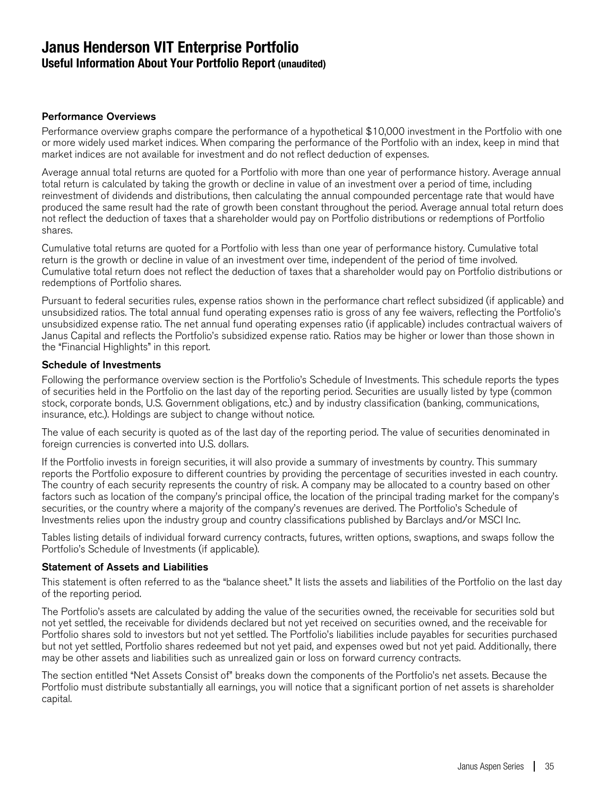## **Janus Henderson VIT Enterprise Portfolio Useful Information About Your Portfolio Report (unaudited)**

#### Performance Overviews

Performance overview graphs compare the performance of a hypothetical \$10,000 investment in the Portfolio with one or more widely used market indices. When comparing the performance of the Portfolio with an index, keep in mind that market indices are not available for investment and do not reflect deduction of expenses.

Average annual total returns are quoted for a Portfolio with more than one year of performance history. Average annual total return is calculated by taking the growth or decline in value of an investment over a period of time, including reinvestment of dividends and distributions, then calculating the annual compounded percentage rate that would have produced the same result had the rate of growth been constant throughout the period. Average annual total return does not reflect the deduction of taxes that a shareholder would pay on Portfolio distributions or redemptions of Portfolio shares.

Cumulative total returns are quoted for a Portfolio with less than one year of performance history. Cumulative total return is the growth or decline in value of an investment over time, independent of the period of time involved. Cumulative total return does not reflect the deduction of taxes that a shareholder would pay on Portfolio distributions or redemptions of Portfolio shares.

Pursuant to federal securities rules, expense ratios shown in the performance chart reflect subsidized (if applicable) and unsubsidized ratios. The total annual fund operating expenses ratio is gross of any fee waivers, reflecting the Portfolio's unsubsidized expense ratio. The net annual fund operating expenses ratio (if applicable) includes contractual waivers of Janus Capital and reflects the Portfolio's subsidized expense ratio. Ratios may be higher or lower than those shown in the "Financial Highlights" in this report.

#### Schedule of Investments

Following the performance overview section is the Portfolio's Schedule of Investments. This schedule reports the types of securities held in the Portfolio on the last day of the reporting period. Securities are usually listed by type (common stock, corporate bonds, U.S. Government obligations, etc.) and by industry classification (banking, communications, insurance, etc.). Holdings are subject to change without notice.

The value of each security is quoted as of the last day of the reporting period. The value of securities denominated in foreign currencies is converted into U.S. dollars.

If the Portfolio invests in foreign securities, it will also provide a summary of investments by country. This summary reports the Portfolio exposure to different countries by providing the percentage of securities invested in each country. The country of each security represents the country of risk. A company may be allocated to a country based on other factors such as location of the company's principal office, the location of the principal trading market for the company's securities, or the country where a majority of the company's revenues are derived. The Portfolio's Schedule of Investments relies upon the industry group and country classifications published by Barclays and/or MSCI Inc.

Tables listing details of individual forward currency contracts, futures, written options, swaptions, and swaps follow the Portfolio's Schedule of Investments (if applicable).

#### Statement of Assets and Liabilities

This statement is often referred to as the "balance sheet." It lists the assets and liabilities of the Portfolio on the last day of the reporting period.

The Portfolio's assets are calculated by adding the value of the securities owned, the receivable for securities sold but not yet settled, the receivable for dividends declared but not yet received on securities owned, and the receivable for Portfolio shares sold to investors but not yet settled. The Portfolio's liabilities include payables for securities purchased but not yet settled, Portfolio shares redeemed but not yet paid, and expenses owed but not yet paid. Additionally, there may be other assets and liabilities such as unrealized gain or loss on forward currency contracts.

The section entitled "Net Assets Consist of" breaks down the components of the Portfolio's net assets. Because the Portfolio must distribute substantially all earnings, you will notice that a significant portion of net assets is shareholder capital.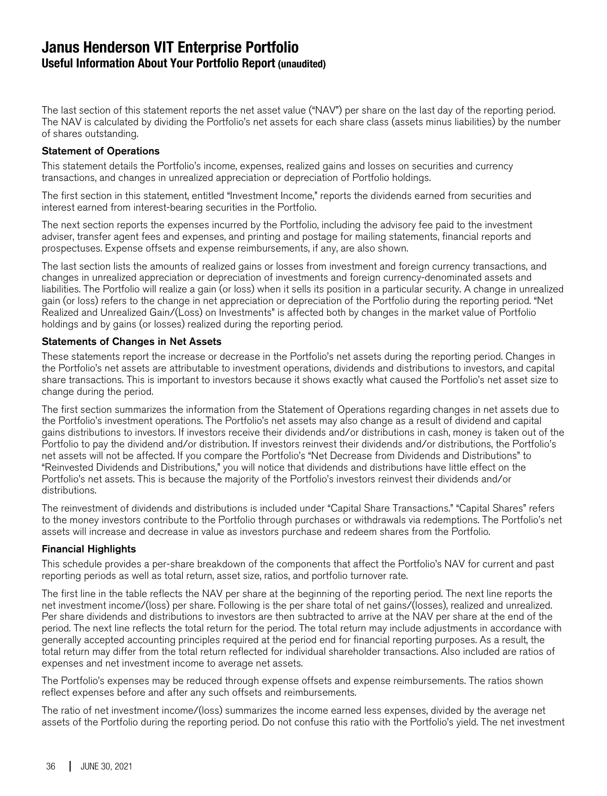## **Janus Henderson VIT Enterprise Portfolio Useful Information About Your Portfolio Report (unaudited)**

The last section of this statement reports the net asset value ("NAV") per share on the last day of the reporting period. The NAV is calculated by dividing the Portfolio's net assets for each share class (assets minus liabilities) by the number of shares outstanding.

#### Statement of Operations

This statement details the Portfolio's income, expenses, realized gains and losses on securities and currency transactions, and changes in unrealized appreciation or depreciation of Portfolio holdings.

The first section in this statement, entitled "Investment Income," reports the dividends earned from securities and interest earned from interest-bearing securities in the Portfolio.

The next section reports the expenses incurred by the Portfolio, including the advisory fee paid to the investment adviser, transfer agent fees and expenses, and printing and postage for mailing statements, financial reports and prospectuses. Expense offsets and expense reimbursements, if any, are also shown.

The last section lists the amounts of realized gains or losses from investment and foreign currency transactions, and changes in unrealized appreciation or depreciation of investments and foreign currency-denominated assets and liabilities. The Portfolio will realize a gain (or loss) when it sells its position in a particular security. A change in unrealized gain (or loss) refers to the change in net appreciation or depreciation of the Portfolio during the reporting period. "Net Realized and Unrealized Gain/(Loss) on Investments" is affected both by changes in the market value of Portfolio holdings and by gains (or losses) realized during the reporting period.

#### Statements of Changes in Net Assets

These statements report the increase or decrease in the Portfolio's net assets during the reporting period. Changes in the Portfolio's net assets are attributable to investment operations, dividends and distributions to investors, and capital share transactions. This is important to investors because it shows exactly what caused the Portfolio's net asset size to change during the period.

The first section summarizes the information from the Statement of Operations regarding changes in net assets due to the Portfolio's investment operations. The Portfolio's net assets may also change as a result of dividend and capital gains distributions to investors. If investors receive their dividends and/or distributions in cash, money is taken out of the Portfolio to pay the dividend and/or distribution. If investors reinvest their dividends and/or distributions, the Portfolio's net assets will not be affected. If you compare the Portfolio's "Net Decrease from Dividends and Distributions" to "Reinvested Dividends and Distributions," you will notice that dividends and distributions have little effect on the Portfolio's net assets. This is because the majority of the Portfolio's investors reinvest their dividends and/or distributions.

The reinvestment of dividends and distributions is included under "Capital Share Transactions." "Capital Shares" refers to the money investors contribute to the Portfolio through purchases or withdrawals via redemptions. The Portfolio's net assets will increase and decrease in value as investors purchase and redeem shares from the Portfolio.

#### Financial Highlights

This schedule provides a per-share breakdown of the components that affect the Portfolio's NAV for current and past reporting periods as well as total return, asset size, ratios, and portfolio turnover rate.

The first line in the table reflects the NAV per share at the beginning of the reporting period. The next line reports the net investment income/(loss) per share. Following is the per share total of net gains/(losses), realized and unrealized. Per share dividends and distributions to investors are then subtracted to arrive at the NAV per share at the end of the period. The next line reflects the total return for the period. The total return may include adjustments in accordance with generally accepted accounting principles required at the period end for financial reporting purposes. As a result, the total return may differ from the total return reflected for individual shareholder transactions. Also included are ratios of expenses and net investment income to average net assets.

The Portfolio's expenses may be reduced through expense offsets and expense reimbursements. The ratios shown reflect expenses before and after any such offsets and reimbursements.

The ratio of net investment income/(loss) summarizes the income earned less expenses, divided by the average net assets of the Portfolio during the reporting period. Do not confuse this ratio with the Portfolio's yield. The net investment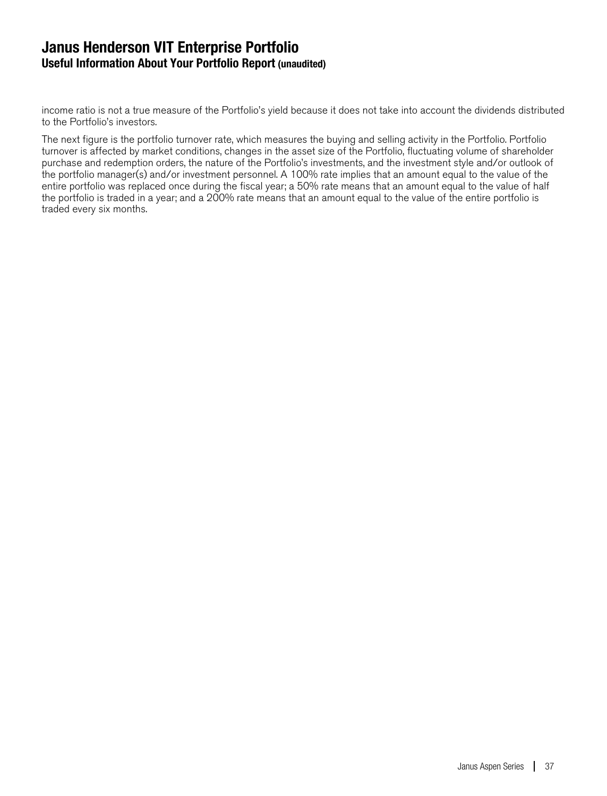## **Janus Henderson VIT Enterprise Portfolio Useful Information About Your Portfolio Report (unaudited)**

income ratio is not a true measure of the Portfolio's yield because it does not take into account the dividends distributed to the Portfolio's investors.

The next figure is the portfolio turnover rate, which measures the buying and selling activity in the Portfolio. Portfolio turnover is affected by market conditions, changes in the asset size of the Portfolio, fluctuating volume of shareholder purchase and redemption orders, the nature of the Portfolio's investments, and the investment style and/or outlook of the portfolio manager(s) and/or investment personnel. A 100% rate implies that an amount equal to the value of the entire portfolio was replaced once during the fiscal year; a 50% rate means that an amount equal to the value of half the portfolio is traded in a year; and a 200% rate means that an amount equal to the value of the entire portfolio is traded every six months.